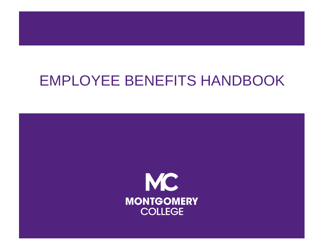# EMPLOYEE BENEFITS HANDBOOK

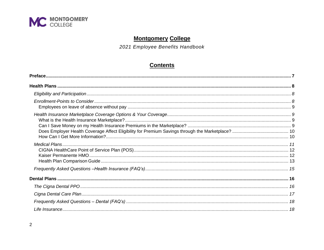

## **Montgomery College**

2021 Employee Benefits Handbook

## **Contents**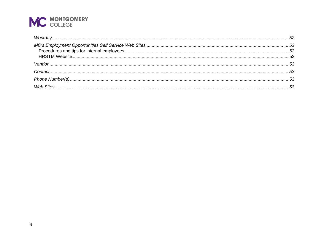| $Workday52$ |  |
|-------------|--|
|             |  |
|             |  |
|             |  |
|             |  |
|             |  |
|             |  |
|             |  |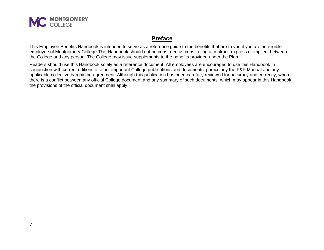

## **Preface**

<span id="page-6-0"></span>This Employee Benefits Handbook is intended to serve as a reference guide to the benefits that are to you if you are an eligible employee of Montgomery College This Handbook should not be construed as constituting a contract, express or implied, between the College and any person. The College may issue supplements to the benefits provided under the Plan.

Readers should use this Handbook solely as a reference document. All employees are encouraged to use this Handbook in conjunction with current editions of other important College publications and documents, particularly the P&P Manual and any applicable collective bargaining agreement. Although this publication has been carefully reviewed for accuracy and currency, where there is a conflict between any official College document and any summary of such documents, which may appear in this Handbook, the provisions of the official document shall apply.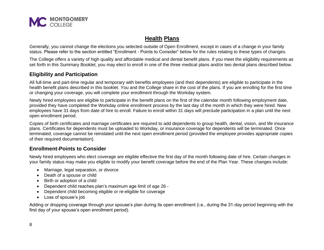

## **Health Plans**

<span id="page-7-0"></span>Generally, you cannot change the elections you selected outside of Open Enrollment, except in cases of a change in your family status. Please refer to the section entitled "Enrollment - Points to Consider" below for the rules relating to these types of changes.

The College offers a variety of high quality and affordable medical and dental benefit plans. If you meet the eligibility requirements as set forth in this Summary Booklet, you may elect to enroll in one of the three medical plans and/or two dental plans described below.

## <span id="page-7-1"></span>**Eligibility and Participation**

All full-time and part-time regular and temporary with benefits employees (and their dependents) are eligible to participate in the health benefit plans described in this booklet. You and the College share in the cost of the plans. If you are enrolling for the first time or changing your coverage, you will complete your enrollment through the Workday system.

Newly hired employees are eligible to participate in the benefit plans on the first of the calendar month following employment date, provided they have completed the Workday online enrollment process by the last day of the month in which they were hired. New employees have 31 days from date of hire to enroll. Failure to enroll within 31 days will preclude participation in a plan until the next open enrollment period.

Copies of birth certificates and marriage certificates are required to add dependents to group health, dental, vision, and life insurance plans. Certificates for dependents must be uploaded to Workday, or insurance coverage for dependents will be terminated. Once terminated, coverage cannot be reinstated until the next open enrollment period (provided the employee provides appropriate copies of their required documentation).

## <span id="page-7-2"></span>**Enrollment-Points to Consider**

Newly hired employees who elect coverage are eligible effective the first day of the month following date of hire. Certain changes in your family status may make you eligible to modify your benefit coverage before the end of the Plan Year. These changes include:

- Marriage, legal separation, or divorce
- Death of a spouse or child
- Birth or adoption of a child
- Dependent child reaches plan's maximum age limit of age 26 -
- Dependent child becoming eligible or re-eligible for coverage
- Loss of spouse's job

Adding or dropping coverage through your spouse's plan during its open enrollment (i.e., during the 31-day period beginning with the first day of your spouse's open enrollment period).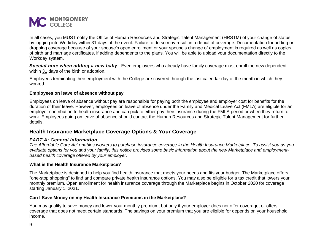

In all cases, you MUST notify the Office of Human Resources and Strategic Talent Management (HRSTM) of your change of status, by logging into [Workday](https://www.myworkday.com/mc/d/home.htmld) within 31 days of the event. Failure to do so may result in a denial of coverage. Documentation for adding or dropping coverage because of your spouse's open enrollment or your spouse's change of employment is required as well as copies of birth and marriage certificates, if adding dependents to the plans. You will be able to upload your documentation directly to the Workday system.

*Special note when adding a new baby:* Even employees who already have family coverage must enroll the new dependent within 31 days of the birth or adoption.

Employees terminating their employment with the College are covered through the last calendar day of the month in which they worked.

#### <span id="page-8-0"></span>**Employees on leave of absence without pay**

Employees on leave of absence without pay are responsible for paying both the employee and employer cost for benefits for the duration of their leave. However, employees on leave of absence under the Family and Medical Leave Act (FMLA) are eligible for an employer contribution to health insurance and can pick to either pay their insurance during the FMLA period or when they return to work. Employees going on leave of absence should contact the Human Resources and Strategic Talent Management for further details.

## <span id="page-8-1"></span>**Health Insurance Marketplace Coverage Options & Your Coverage**

#### *PART A: General Information*

*The Affordable Care Act enables workers to purchase insurance coverage in the Health Insurance Marketplace. To assist you as you evaluate options for you and your family, this notice provides some basic information about the new Marketplace and employmentbased health coverage offered by your employer.*

#### <span id="page-8-2"></span>**What is the Health Insurance Marketplace?**

The Marketplace is designed to help you find health insurance that meets your needs and fits your budget. The Marketplace offers "one-stop shopping" to find and compare private health insurance options. You may also be eligible for a tax credit that lowers your monthly premium. Open enrollment for health insurance coverage through the Marketplace begins in October 2020 for coverage starting January 1, 2021.

#### <span id="page-8-3"></span>**Can I Save Money on my Health Insurance Premiums in the Marketplace?**

You may qualify to save money and lower your monthly premium, but only if your employer does not offer coverage, or offers coverage that does not meet certain standards. The savings on your premium that you are eligible for depends on your household income.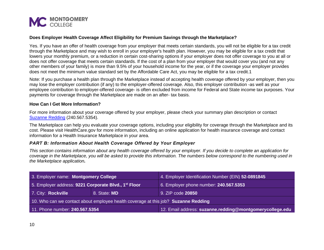

#### <span id="page-9-0"></span>**Does Employer Health Coverage Affect Eligibility for Premium Savings through the Marketplace?**

Yes. If you have an offer of health coverage from your employer that meets certain standards, you will not be eligible for a tax credit through the Marketplace and may wish to enroll in your employer's health plan. However, you may be eligible for a tax credit that lowers your monthly premium, or a reduction in certain cost-sharing options if your employer does not offer coverage to you at all or does not offer coverage that meets certain standards. If the cost of a plan from your employer that would cover you (and not any other members of your family) is more than 9.5% of your household income for the year, or if the coverage your employer provides does not meet the minimum value standard set by the Affordable Care Act, you may be eligible for a tax credit.1

Note: If you purchase a health plan through the Marketplace instead of accepting health coverage offered by your employer, then you may lose the employer contribution (if any) to the employer-offered coverage. Also, this employer contribution -as well as your employee contribution to employer-offered coverage- is often excluded from income for Federal and State income tax purposes. Your payments for coverage through the Marketplace are made on an after- tax basis.

#### <span id="page-9-1"></span>**How Can I Get More Information?**

For more information about your coverage offered by your employer, please check your summary plan description or contact [Suzanne Redding](mailto:suzanne.redding@montgomerycollege.edu) (240.567.5354).

The Marketplace can help you evaluate your coverage options, including your eligibility for coverage through the Marketplace and its cost. Please visit [HealthCare.gov](http://healthcare.gov/) for more information, including an online application for health insurance coverage and contact information for a Health Insurance Marketplace in your area.

#### *PART B: Information About Health Coverage Offered by Your Employer*

*This section contains information about any health coverage offered by your employer. If you decide to complete an application for coverage in the Marketplace, you will be asked to provide this information. The numbers below correspond to the numbering used in the Marketplace application.*

| 3. Employer name: Montgomery College                                               |              | 4. Employer Identification Number (EIN) 52-0891845       |
|------------------------------------------------------------------------------------|--------------|----------------------------------------------------------|
| 5. Employer address: 9221 Corporate Blvd., 1 <sup>st</sup> Floor                   |              | 6. Employer phone number: 240.567.5353                   |
| 7. City: Rockville                                                                 | 8. State: MD | 9. ZIP code 20850                                        |
| 10. Who can we contact about employee health coverage at this job? Suzanne Redding |              |                                                          |
| 11. Phone number: 240.567.5354                                                     |              | 12. Email address: suzanne.redding@montgomerycollege.edu |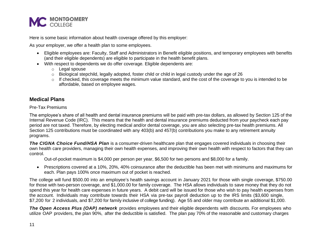

Here is some basic information about health coverage offered by this employer:

As your employer, we offer a health plan to some employees.

- Eligible employees are: Faculty, Staff and Administrators in Benefit eligible positions, and temporary employees with benefits (and their eligible dependents) are eligible to participate in the health benefit plans.
- With respect to dependents we do offer coverage. Eligible dependents are:
	- o Legal spouse
	- $\circ$  Biological stepchild, legally adopted, foster child or child in legal custody under the age of 26
	- $\circ$  If checked, this coverage meets the minimum value standard, and the cost of the coverage to you is intended to be affordable, based on employee wages.

## <span id="page-10-0"></span>**Medical Plans**

#### Pre-Tax Premiums

The employee's share of all health and dental insurance premiums will be paid with pre-tax dollars, as allowed by Section 125 of the Internal Revenue Code (IRC). This means that the health and dental insurance premiums deducted from your paycheck each pay period are not taxed. Therefore, by electing medical and/or dental coverage, you are also selecting pre-tax health premiums. All Section 125 contributions must be coordinated with any 403(b) and 457(b) contributions you make to any retirement annuity programs.

*The CIGNA Choice Fund/HSA Plan* is a consumer-driven healthcare plan that engages covered individuals in choosing their own health care providers, managing their own health expenses, and improving their own health with respect to factors that they can control.

Out-of-pocket maximum is \$4,000 per person per year, \$6,500 for two persons and \$8,000 for a family.

• Prescriptions covered at a 10%, 20%, 40% coinsurance after the deductible has been met with minimums and maximums for each. Plan pays 100% once maximum out of pocket is reached.

The college will fund \$500.00 into an employee's health savings account in January 2021 for those with single coverage, \$750.00 for those with two-person coverage, and \$1,000.00 for family coverage. The HSA allows individuals to save money that they do not spend this year for health care expenses in future years. A debit card will be issued for those who wish to pay health expenses from the account. Individuals may contribute towards their HSA via pre-tax payroll deduction up to the IRS limits (\$3,600 single, \$7,200 for 2 individuals, and \$7,200 for family inclusive of college funding). Age 55 and older may contribute an additional \$1,000.

*The Open Access Plus (OAP) network* provides employees and their eligible dependents with discounts. For employees who utilize OAP providers, the plan 90%, after the deductible is satisfied. The plan pay 70% of the reasonable and customary charges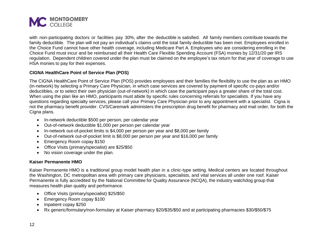

with non-participating doctors or facilities pay 30%, after the deductible is satisfied. All family members contribute towards the family deductible. The plan will not pay an individual's claims until the total family deductible has been met. Employees enrolled in the Choice Fund cannot have other health coverage, including Medicare Part A. Employees who are considering enrolling in the Choice Fund must incur and be reimbursed all their Health Care Flexible Spending Account (FSA) monies by 12/31/20 per IRS regulation. Dependent children covered under the plan must be claimed on the employee's tax return for that year of coverage to use HSA monies to pay for their expenses.

#### <span id="page-11-0"></span>**CIGNA HealthCare Point of Service Plan (POS)**

The CIGNA HealthCare Point of Service Plan (POS) provides employees and their families the flexibility to use the plan as an HMO (in-network) by selecting a Primary Care Physician, in which case services are covered by payment of specific co-pays and/or deductibles, or to select their own physician (out-of-network) in which case the participant pays a greater share of the total cost. When using the plan like an HMO, participants must abide by specific rules concerning referrals for specialists. If you have any questions regarding specialty services, please call your Primary Care Physician prior to any appointment with a specialist. Cigna is not the pharmacy benefit provider. CVS/Caremark administers the prescription drug benefit for pharmacy and mail order, for both the Cigna plans.

- In-network deductible \$500 per person, per calendar year
- Out-of-network deductible \$1,000 per person per calendar year
- In-network out-of-pocket limits is \$4,000 per person per year and \$8,000 per family
- Out-of-network out-of-pocket limit is \$8,000 per person per year and \$16,000 per family
- Emergency Room copay \$150
- Office Visits (primary/specialist) are \$25/\$50
- No vision coverage under the plan.

#### <span id="page-11-1"></span>**Kaiser Permanente HMO**

Kaiser Permanente HMO is a traditional group model health plan in a clinic-type setting. Medical centers are located throughout the Washington, DC metropolitan area with primary care physicians, specialists, and vital services all under one roof. Kaiser Permanente is fully accredited by the National Committee for Quality Assurance (NCQA), the industry watchdog group that measures health plan quality and performance.

- Office Visits (primary/specialist) \$25/\$50
- Emergency Room copay \$100
- Inpatient copay \$250
- Rx generic/formulary/non-formulary at Kaiser pharmacy \$20/\$35/\$50 and at participating pharmacies \$30/\$50/\$75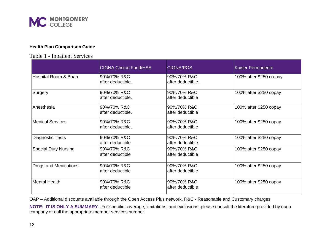

#### <span id="page-12-0"></span>**Health Plan Comparison Guide**

## Table 1 - Inpatient Services

|                             | <b>CIGNA Choice Fund/HSA</b>     | <b>CIGNA/POS</b>                 | <b>Kaiser Permanente</b> |
|-----------------------------|----------------------------------|----------------------------------|--------------------------|
| Hospital Room & Board       | 90%/70% R&C<br>after deductible. | 90%/70% R&C<br>after deductible. | 100% after \$250 co-pay  |
| Surgery                     | 90%/70% R&C<br>after deductible. | 90%/70% R&C<br>after deductible  | 100% after \$250 copay   |
| Anesthesia                  | 90%/70% R&C<br>after deductible. | 90%/70% R&C<br>after deductible  | 100% after \$250 copay   |
| Medical Services            | 90%/70% R&C<br>after deductible. | 90%/70% R&C<br>after deductible  | 100% after \$250 copay   |
| Diagnostic Tests            | 90%/70% R&C<br>after deductible  | 90%/70% R&C<br>after deductible  | 100% after \$250 copay   |
| <b>Special Duty Nursing</b> | 90%/70% R&C<br>after deductible  | 90%/70% R&C<br>after deductible  | 100% after \$250 copay   |
| Drugs and Medications       | 90%/70% R&C<br>after deductible  | 90%/70% R&C<br>after deductible  | 100% after \$250 copay   |
| Mental Health               | 90%/70% R&C<br>after deductible  | 90%/70% R&C<br>after deductible  | 100% after \$250 copay   |

OAP – Additional discounts available through the Open Access Plus network. R&C - Reasonable and Customary charges

**NOTE: IT IS ONLY A SUMMARY**. For specific coverage, limitations, and exclusions, please consult the literature provided by each company or call the appropriate member services number.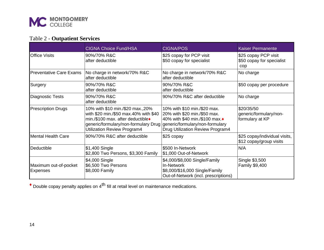

## Table 2 - **Outpatient Services**

|                                          | <b>CIGNA Choice Fund/HSA</b>                                                                                                                                                                                                        | <b>CIGNA/POS</b>                                                                                                                   | <b>Kaiser Permanente</b>                                 |
|------------------------------------------|-------------------------------------------------------------------------------------------------------------------------------------------------------------------------------------------------------------------------------------|------------------------------------------------------------------------------------------------------------------------------------|----------------------------------------------------------|
| <b>Office Visits</b>                     | 90%/70% R&C<br>after deductible                                                                                                                                                                                                     | \$25 copay for PCP visit<br>\$50 copay for specialist                                                                              | \$25 copay PCP visit<br>\$50 copay for specialist<br>cop |
| <b>Preventative Care Exams</b>           | No charge in network/70% R&C<br>after deductible                                                                                                                                                                                    | No charge in network/70% R&C<br>after deductible                                                                                   | No charge                                                |
| Surgery                                  | 90%/70% R&C<br>after deductible                                                                                                                                                                                                     | 90%/70% R&C<br>after deductible                                                                                                    | \$50 copay per procedure                                 |
| <b>Diagnostic Tests</b>                  | 90%/70% R&C<br>after deductible                                                                                                                                                                                                     | 90%/70% R&C after deductible                                                                                                       | No charge                                                |
| <b>Prescription Drugs</b>                | 10% with \$10 min./\$20 max.,20%<br>with \$20 min./\$50 max.40% with \$40<br>min./\$100 max. after deductible <sup>*</sup><br>generic/formulary/non-formulary Drug   generic/formulary/non-formulary<br>Utilization Review Program4 | 10% with \$10 min./\$20 max.<br>20% with \$20 min./\$50 max.<br>40% with \$40 min./\$100 max.♦<br>Drug Utilization Review Program4 | \$20/35/50<br>generic/formulary/non-<br>formulary at KP  |
| <b>Mental Health Care</b>                | 90%/70% R&C after deductible                                                                                                                                                                                                        | \$25 copay                                                                                                                         | \$25 copay/individual visits,<br>\$12 copay/group visits |
| Deductible                               | \$1,400 Single<br>\$2,800 Two Persons, \$3,300 Family                                                                                                                                                                               | \$500 In-Network<br>\$1,000 Out-of-Network                                                                                         | N/A                                                      |
| Maximum out-of-pocket<br><b>Expenses</b> | \$4,000 Single<br>\$6,500 Two Persons<br>\$8,000 Family                                                                                                                                                                             | \$4,000/\$8,000 Single/Family<br>In-Network<br>\$8,000/\$16,000 Single/Family<br>Out-of-Network (incl. prescriptions)              | Single \$3,500<br><b>Family \$9,400</b>                  |

 $\bullet$  Double copay penalty applies on  $4^{\text{th}}$  fill at retail level on maintenance medications.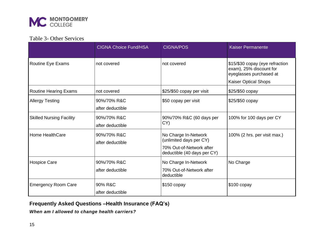

## Table 3- Other Services

|                                 | <b>CIGNA Choice Fund/HSA</b> | <b>CIGNA/POS</b>                                | <b>Kaiser Permanente</b>                                                              |
|---------------------------------|------------------------------|-------------------------------------------------|---------------------------------------------------------------------------------------|
| <b>Routine Eye Exams</b>        | not covered                  | not covered                                     | \$15/\$30 copay (eye refraction<br>exam), 25% discount for<br>eyeglasses purchased at |
|                                 |                              |                                                 | <b>Kaiser Optical Shops</b>                                                           |
| <b>Routine Hearing Exams</b>    | not covered                  | \$25/\$50 copay per visit                       | \$25/\$50 copay                                                                       |
| <b>Allergy Testing</b>          | 90%/70% R&C                  | \$50 copay per visit                            | \$25/\$50 copay                                                                       |
|                                 | after deductible             |                                                 |                                                                                       |
| <b>Skilled Nursing Facility</b> | 90%/70% R&C                  | 90%/70% R&C (60 days per                        | 100% for 100 days per CY                                                              |
|                                 | after deductible             | CY)                                             |                                                                                       |
| Home HealthCare                 | 90%/70% R&C                  | No Charge In-Network<br>(unlimited days per CY) | 100% (2 hrs. per visit max.)                                                          |
|                                 | after deductible             | 70% Out-of-Network after                        |                                                                                       |
|                                 |                              | deductible (40 days per CY)                     |                                                                                       |
| <b>Hospice Care</b>             | 90%/70% R&C                  | No Charge In-Network                            | No Charge                                                                             |
|                                 | after deductible             | 70% Out-of-Network after<br>deductible          |                                                                                       |
| <b>Emergency Room Care</b>      | 90% R&C                      | $$150$ copay                                    | \$100 copay                                                                           |
|                                 | after deductible             |                                                 |                                                                                       |

## <span id="page-14-0"></span>**Frequently Asked Questions –Health Insurance (FAQ's)**

*When am I allowed to change health carriers?*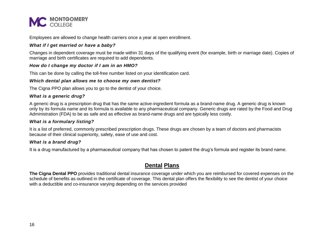

Employees are allowed to change health carriers once a year at open enrollment.

#### *What if I get married or have a baby?*

Changes in dependent coverage must be made within 31 days of the qualifying event (for example, birth or marriage date). Copies of marriage and birth certificates are required to add dependents.

#### *How do I change my doctor if I am in an HMO?*

This can be done by calling the toll-free number listed on your identification card.

#### *Which dental plan allows me to choose my own dentist?*

The Cigna PPO plan allows you to go to the dentist of your choice.

#### *What is a generic drug?*

A generic drug is a prescription drug that has the same active-ingredient formula as a brand-name drug. A generic drug is known only by its formula name and its formula is available to any pharmaceutical company. Generic drugs are rated by the Food and Drug Administration (FDA) to be as safe and as effective as brand-name drugs and are typically less costly.

#### *What is a formulary listing?*

It is a list of preferred, commonly prescribed prescription drugs. These drugs are chosen by a team of doctors and pharmacists because of their clinical superiority, safety, ease of use and cost.

#### *What is a brand drug?*

<span id="page-15-0"></span>It is a drug manufactured by a pharmaceutical company that has chosen to patent the drug's formula and register its brand name.

## **Dental Plans**

<span id="page-15-1"></span>**The Cigna Dental PPO** provides traditional dental insurance coverage under which you are reimbursed for covered expenses on the schedule of benefits as outlined in the certificate of coverage. This dental plan offers the flexibility to see the dentist of your choice with a deductible and co-insurance varying depending on the services provided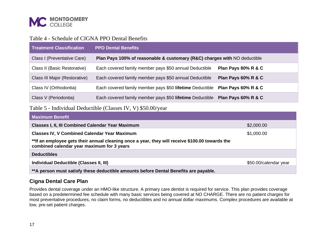

## Table 4 - Schedule of CIGNA PPO Dental Benefits

| <b>Treatment Classification</b> | <b>PPO Dental Benefits</b>                                                   |                     |
|---------------------------------|------------------------------------------------------------------------------|---------------------|
| Class I (Preventative Care)     | Plan Pays 100% of reasonable & customary (R&C) charges with NO deductible    |                     |
| Class II (Basic Restorative)    | Each covered family member pays \$50 annual Deductible                       | Plan Pays 80% R & C |
| Class III Major (Restorative)   | Each covered family member pays \$50 annual Deductible                       | Plan Pays 60% R & C |
| Class IV (Orthodontia)          | Each covered family member pays \$50 lifetime Deductible Plan Pays 60% R & C |                     |
| Class V (Periodontia)           | Each covered family member pays \$50 lifetime Deductible Plan Pays 60% R & C |                     |

## Table 5 - Individual Deductible (Classes IV, V) \$50.00/year

| <b>Maximum Benefit</b>                                                                                                                        |            |
|-----------------------------------------------------------------------------------------------------------------------------------------------|------------|
| <b>Classes I, II, III Combined Calendar Year Maximum</b>                                                                                      | \$2,000.00 |
| <b>Classes IV, V Combined Calendar Year Maximum</b>                                                                                           | \$1,000.00 |
| **If an employee gets their annual cleaning once a year, they will receive \$100.00 towards the<br>combined calendar year maximum for 3 years |            |
| <b>Deductibles</b>                                                                                                                            |            |
| Individual Deductible (Classes II, III)<br>\$50.00/calendar year                                                                              |            |
| **A person must satisfy these deductible amounts before Dental Benefits are payable.                                                          |            |

## <span id="page-16-0"></span>**Cigna Dental Care Plan**

Provides dental coverage under an HMO-like structure. A primary care dentist is required for service. This plan provides coverage based on a predetermined fee schedule with many basic services being covered at NO CHARGE. There are no patient charges for most preventative procedures, no claim forms, no deductibles and no annual dollar maximums. Complex procedures are available at low, pre-set patient charges.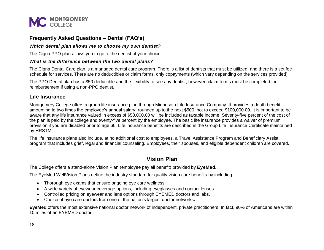

## <span id="page-17-0"></span>**Frequently Asked Questions – Dental (FAQ's)**

#### *Which dental plan allows me to choose my own dentist?*

The Cigna PPO plan allows you to go to the dentist of your choice.

#### *What is the difference between the two dental plans?*

The Cigna Dental Care plan is a managed dental care program. There is a list of dentists that must be utilized, and there is a set fee schedule for services. There are no deductibles or claim forms, only copayments (which vary depending on the services provided).

The PPO Dental plan has a \$50 deductible and the flexibility to see any dentist, however, claim forms must be completed for reimbursement if using a non-PPO dentist.

#### <span id="page-17-1"></span>**Life Insurance**

Montgomery College offers a group life insurance plan through Minnesota Life Insurance Company. It provides a death benefit amounting to two times the employee's annual salary, rounded up to the next \$500, not to exceed \$100,000.00. It is important to be aware that any life insurance valued in excess of \$50,000.00 will be included as taxable income. Seventy-five percent of the cost of the plan is paid by the college and twenty-five percent by the employee. The basic life insurance provides a waiver of premium provision if you are disabled prior to age 60. Life insurance benefits are described in the Group Life Insurance Certificate maintained by HRSTM.

<span id="page-17-2"></span>The life insurance plans also include, at no additional cost to employees, a Travel Assistance Program and Beneficiary Assist program that includes grief, legal and financial counseling. Employees, their spouses, and eligible dependent children are covered.

## **Vision Plan**

The College offers a stand-alone Vision Plan (employee pay all benefit) provided by **EyeMed***.*

The EyeMed WellVision Plans define the industry standard for quality vision care benefits by including:

- Thorough eye exams that ensure ongoing eye care wellness.
- A wide variety of eyewear coverage options, including eyeglasses and contact lenses.
- Controlled pricing on eyewear and lens options through EYEMED doctors and labs.
- Choice of eye care doctors from one of the nation's largest doctor networks**.**

**EyeMed** offers the most extensive national doctor network of independent, private practitioners. In fact, 90% of Americans are within 10 miles of an EYEMED doctor.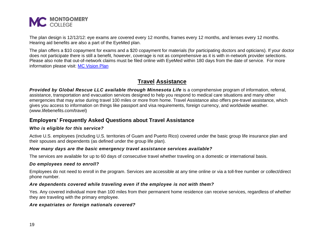

The plan design is 12/12/12: eye exams are covered every 12 months, frames every 12 months, and lenses every 12 months. Hearing aid benefits are also a part of the EyeMed plan.

The plan offers a \$10 copayment for exams and a \$20 copayment for materials (for participating doctors and opticians). If your doctor does not participate there is still a benefit, however, coverage is not as comprehensive as it is with in-network provider selections. Please also note that out-of-network claims must be filed online with EyeMed within 180 days from the date of service. For more information please visit: [MC Vision Plan](https://info.montgomerycollege.edu/offices/human-resources/benefits/open-enrollment/2019-dental-and-vision-insurance.html#VisionInsurance)

## **Travel Assistance**

<span id="page-18-0"></span>*Provided by Global Rescue LLC available through Minnesota Life* is a comprehensive program of information, referral, assistance, transportation and evacuation services designed to help you respond to medical care situations and many other emergencies that may arise during travel 100 miles or more from home. Travel Assistance also offers pre-travel assistance, which gives you access to information on things like passport and visa requirements, foreign currency, and worldwide weather. [\(www.lifebenefits.com/travel\)](http://www.lifebenefits.com/travel)

## <span id="page-18-1"></span>**Employers' Frequently Asked Questions about Travel Assistance**

#### *Who is eligible for this service?*

Active U.S. employees (including U.S. territories of Guam and Puerto Rico) covered under the basic group life insurance plan and their spouses and dependents (as defined under the group life plan).

#### *How many days are the basic emergency travel assistance services available?*

The services are available for up to 60 days of consecutive travel whether traveling on a domestic or international basis.

#### *Do employees need to enroll?*

Employees do not need to enroll in the program. Services are accessible at any time online or via a toll-free number or collect/direct phone number.

#### *Are dependents covered while traveling even if the employee is not with them?*

Yes. Any covered individual more than 100 miles from their permanent home residence can receive services, regardless of whether they are traveling with the primary employee.

#### *Are expatriates or foreign nationals covered?*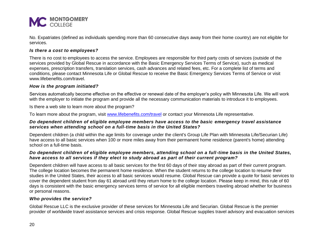

No. Expatriates (defined as individuals spending more than 60 consecutive days away from their home country) are not eligible for services.

#### *Is there a cost to employees?*

There is no cost to employees to access the service. Employees are responsible for third party costs of services (outside of the services provided by Global Rescue in accordance with the Basic Emergency Services Terms of Service), such as medical expenses, prescription transfers, translation services, cash advances and related fees, etc. For a complete list of terms and conditions, please contact Minnesota Life or Global Rescue to receive the Basic Emergency Services Terms of Service or visit www.lifebenefits.com/travel.

#### *How is the program initiated?*

Services automatically become effective on the effective or renewal date of the employer's policy with Minnesota Life. We will work with the employer to initiate the program and provide all the necessary communication materials to introduce it to employees.

Is there a web site to learn more about the program?

To learn more about the program, visit [www.lifebenefits.com/travel](file:///C:/Users/phadzima/AppData/Local/Microsoft/Windows/Temporary%20Internet%20Files/Content.Outlook/13K4QWEZ/www.lifebenefits.com/travel) or contact your Minnesota Life representative.

#### *Do dependent children of eligible employee members have access to the basic emergency travel assistance services when attending school on a full-time basis in the United States?*

Dependent children (a child within the age limits for coverage under the client's Group Life Plan with Minnesota Life/Securian Life) have access to all basic services when 100 or more miles away from their permanent home residence (parent's home) attending school on a full-time basis.

#### *Do dependent children of eligible employee members, attending school on a full-time basis in the United States, have access to all services if they elect to study abroad as part of their current program?*

Dependent children will have access to all basic services for the first 60 days of their stay abroad as part of their current program. The college location becomes the permanent home residence. When the student returns to the college location to resume their studies in the United States, their access to all basic services would resume. Global Rescue can provide a quote for basic services to cover the dependent student from day 61 abroad until they return home to the college location. Please keep in mind, this rule of 60 days is consistent with the basic emergency services terms of service for all eligible members traveling abroad whether for business or personal reasons.

#### *Who provides the service?*

Global Rescue LLC is the exclusive provider of these services for Minnesota Life and Securian. Global Rescue is the premier provider of worldwide travel assistance services and crisis response. Global Rescue supplies travel advisory and evacuation services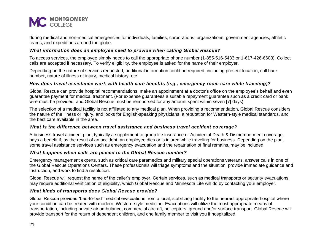

during medical and non-medical emergencies for individuals, families, corporations, organizations, government agencies, athletic teams, and expeditions around the globe.

#### *What information does an employee need to provide when calling Global Rescue?*

To access services, the employee simply needs to call the appropriate phone number (1-855-516-5433 or 1-617-426-6603). Collect calls are accepted if necessary. To verify eligibility, the employee is asked for the name of their employer.

Depending on the nature of services requested, additional information could be required, including present location, call back number, nature of illness or injury, medical history, etc.

#### *How does travel assistance work with health care benefits (e.g., emergency room care while traveling)?*

Global Rescue can provide hospital recommendations, make an appointment at a doctor's office on the employee's behalf and even guarantee payment for medical treatment. (For expense guarantees a suitable repayment guarantee such as a credit card or bank wire must be provided, and Global Rescue must be reimbursed for any amount spent within seven [7] days).

The selection of a medical facility is not affiliated to any medical plan. When providing a recommendation, Global Rescue considers the nature of the illness or injury, and looks for English-speaking physicians, a reputation for Western-style medical standards, and the best care available in the area.

#### *What is the difference between travel assistance and business travel accident coverage?*

A business travel accident plan, typically a supplement to group life insurance or Accidental Death & Dismemberment coverage, pays a benefit if, as the result of an accident, an employee dies or is injured while traveling for business. Depending on the plan, some travel assistance services such as emergency evacuation and the repatriation of final remains, may be included.

#### *What happens when calls are placed to the Global Rescue number?*

Emergency management experts, such as critical care paramedics and military special operations veterans, answer calls in one of the Global Rescue Operations Centers. These professionals will triage symptoms and the situation, provide immediate guidance and instruction, and work to find a resolution.

Global Rescue will request the name of the caller's employer. Certain services, such as medical transports or security evacuations, may require additional verification of eligibility, which Global Rescue and Minnesota Life will do by contacting your employer.

#### *What kinds of transports does Global Rescue provide?*

Global Rescue provides "bed-to-bed" medical evacuations from a local, stabilizing facility to the nearest appropriate hospital where your condition can be treated with modern, Western-style medicine. Evacuations will utilize the most appropriate means of transportation, including private air ambulance, commercial aircraft, helicopters, ground and/or surface transport. Global Rescue will provide transport for the return of dependent children, and one family member to visit you if hospitalized.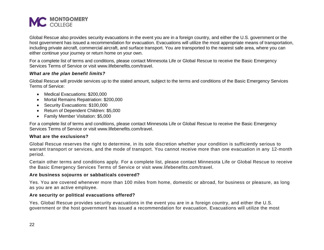

Global Rescue also provides security evacuations in the event you are in a foreign country, and either the U.S. government or the host government has issued a recommendation for evacuation. Evacuations will utilize the most appropriate means of transportation, including private aircraft, commercial aircraft, and surface transport. You are transported to the nearest safe area, where you can either continue your journey or return home on your own.

For a complete list of terms and conditions, please contact Minnesota Life or Global Rescue to receive the Basic Emergency Services Terms of Service or visit www.lifebenefits.com/travel.

#### *What are the plan benefit limits?*

Global Rescue will provide services up to the stated amount, subject to the terms and conditions of the Basic Emergency Services Terms of Service:

- Medical Evacuations: \$200,000
- Mortal Remains Repatriation: \$200,000
- Security Evacuations: \$100,000
- Return of Dependent Children: \$5,000
- Family Member Visitation: \$5,000

For a complete list of terms and conditions, please contact Minnesota Life or Global Rescue to receive the Basic Emergency Services Terms of Service or visit www.lifebenefits.com/travel.

#### **What are the exclusions?**

Global Rescue reserves the right to determine, in its sole discretion whether your condition is sufficiently serious to warrant transport or services, and the mode of transport. You cannot receive more than one evacuation in any 12-month period.

Certain other terms and conditions apply. For a complete list, please contact Minnesota Life or Global Rescue to receive the Basic Emergency Services Terms of Service or visit www.lifebenefits.com/travel.

#### **Are business sojourns or sabbaticals covered?**

Yes. You are covered whenever more than 100 miles from home, domestic or abroad, for business or pleasure, as long as you are an active employee.

#### **Are security or political evacuations offered?**

Yes. Global Rescue provides security evacuations in the event you are in a foreign country, and either the U.S. government or the host government has issued a recommendation for evacuation. Evacuations will utilize the most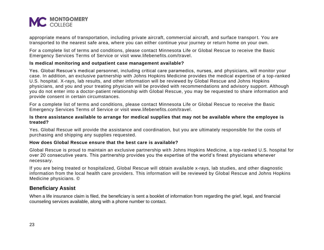

appropriate means of transportation, including private aircraft, commercial aircraft, and surface transport. You are transported to the nearest safe area, where you can either continue your journey or return home on your own.

For a complete list of terms and conditions, please contact Minnesota Life or Global Rescue to receive the Basic Emergency Services Terms of Service or visit [www.lifebenefits.com/travel.](http://www.lifebenefits.com/travel)

#### **Is medical monitoring and outpatient case management available?**

Yes. Global Rescue's medical personnel, including critical care paramedics, nurses, and physicians, will monitor your case. In addition, an exclusive partnership with Johns Hopkins Medicine provides the medical expertise of a top-ranked U.S. hospital. X-rays, lab results, and other information will be reviewed by Global Rescue and Johns Hopkins physicians, and you and your treating physician will be provided with recommendations and advisory support. Although you do not enter into a doctor-patient relationship with Global Rescue, you may be requested to share information and provide consent in certain circumstances.

For a complete list of terms and conditions, please contact Minnesota Life or Global Rescue to receive the Basic Emergency Services Terms of Service or visit [www.lifebenefits.com/travel.](http://www.lifebenefits.com/travel)

#### **Is there assistance available to arrange for medical supplies that may not be available where the employee is treated?**

Yes. Global Rescue will provide the assistance and coordination, but you are ultimately responsible for the costs of purchasing and shipping any supplies requested.

#### **How does Global Rescue ensure that the best care is available?**

Global Rescue is proud to maintain an exclusive partnership with Johns Hopkins Medicine, a top-ranked U.S. hospital for over 20 consecutive years. This partnership provides you the expertise of the world's finest physicians whenever necessary.

If you are being treated or hospitalized, Global Rescue will obtain available x-rays, lab studies, and other diagnostic information from the local health care providers. This information will be reviewed by Global Rescue and Johns Hopkins Medicine physicians. ©

#### <span id="page-22-0"></span>**Beneficiary Assist**

When a life insurance claim is filed, the beneficiary is sent a booklet of information from regarding the grief, legal, and financial counseling services available, along with a phone number to contact.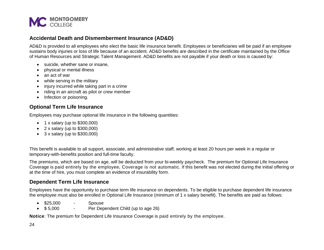

## <span id="page-23-0"></span>**Accidental Death and Dismemberment Insurance (AD&D)**

AD&D is provided to all employees who elect the basic life insurance benefit. Employees or beneficiaries will be paid if an employee sustains body injuries or loss of life because of an accident. AD&D benefits are described in the certificate maintained by the Office of Human Resources and Strategic Talent Management. AD&D benefits are not payable if your death or loss is caused by:

- suicide, whether sane or insane,
- physical or mental illness
- an act of war
- while serving in the military
- injury incurred while taking part in a crime
- riding in an aircraft as pilot or crew member
- Infection or poisoning.

## <span id="page-23-1"></span>**Optional Term Life Insurance**

Employees may purchase optional life insurance in the following quantities:

- $\bullet$  1 x salary (up to \$300,000)
- $2 \times$  salary (up to \$300,000)
- $\bullet$  3 x salary (up to \$300,000)

This benefit is available to all support, associate, and administrative staff, working at least 20 hours per week in a regular or temporary-with-benefits position and full-time faculty.

The premiums, which are based on age, will be deducted from your bi-weekly paycheck. The premium for Optional Life Insurance Coverage is paid entirely by the employee*.* Coverage is not automatic. If this benefit was not elected during the initial offering or at the time of hire, you must complete an evidence of insurability form.

## <span id="page-23-2"></span>**Dependent Term Life Insurance**

Employees have the opportunity to purchase term life insurance on dependents. To be eligible to purchase dependent life insurance the employee must also be enrolled in Optional Life Insurance (minimum of 1 x salary benefit). The benefits are paid as follows:

- \$25,000 Spouse
- \$ 5,000 Per Dependent Child (up to age 26)

**Notice**: The premium for Dependent Life Insurance Coverage is paid entirely by the employee*.*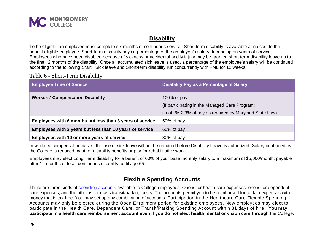

## **Disability**

<span id="page-24-0"></span>To be eligible, an employee must complete six months of continuous service. Short term disability is available at no cost to the benefit eligible employee. Short-term disability pays a percentage of the employee's salary depending on years of service. Employees who have been disabled because of sickness or accidental bodily injury may be granted short term disability leave up to the first 12 months of the disability. Once all accumulated sick leave is used, a percentage of the employee's salary will be continued according to the following chart. Sick leave and Short-term disability run concurrently with FML for 12 weeks.

Table 6 - Short-Term Disability

| <b>Employee Time of Service</b>                          | Disability Pay as a Percentage of Salary                  |
|----------------------------------------------------------|-----------------------------------------------------------|
| <b>Workers' Compensation Disability</b>                  | 100% of $pay$                                             |
|                                                          | (If participating in the Managed Care Program;            |
|                                                          | if not, 66 2/3% of pay as required by Maryland State Law) |
| Employees with 6 months but less than 3 years of service | 50% of pay                                                |
| Employees with 3 years but less than 10 years of service | 60% of pay                                                |
| Employees with 10 or more years of service               | 80% of pay                                                |

In workers' compensation cases, the use of sick leave will not be required before Disability Leave is authorized. Salary continued by the College is reduced by other disability benefits or pay for rehabilitative work.

<span id="page-24-1"></span>Employees may elect Long Term disability for a benefit of 60% of your base monthly salary to a maximum of \$5,000/month, payable after 12 months of total, continuous disability, until age 65.

## **Flexible Spending Accounts**

There are three kinds of [spending accounts](https://www.benstrat.com/resources-forms/) available to College employees. One is for health care expenses, one is for dependent care expenses, and the other is for mass transit/parking costs. The accounts permit you to be reimbursed for certain expenses with money that is tax-free. You may set up any combination of accounts. Participation in the Healthcare Care Flexible Spending Accounts may only be elected during the Open Enrollment period for existing employees. New employees may elect to participate in the Health Care, Dependent Care, or Transit/Parking Spending Account within 31 days of hire. **You may participate in a health care reimbursement account even if you do not elect health, dental or vision care through** the College.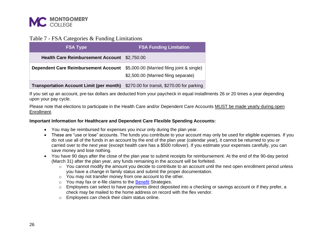

### Table 7 - FSA Categories & Funding Limitations

| <b>FSA Type</b>                                 | <b>FSA Funding Limitation</b>                                                      |
|-------------------------------------------------|------------------------------------------------------------------------------------|
| Health Care Reimbursement Account \$2,750.00    |                                                                                    |
| <b>Dependent Care Reimbursement Account</b>     | \$5,000.00 (Married filing joint & single)<br>\$2,500.00 (Married filing separate) |
| <b>Transportation Account Limit (per month)</b> | \$270.00 for transit, \$270.00 for parking                                         |

If you set up an account, pre-tax dollars are deducted from your paycheck in equal installments 26 or 20 times a year depending upon your pay cycle.

Please note that elections to participate in the Health Care and/or Dependent Care Accounts MUST be made yearly during open Enrollment.

#### <span id="page-25-0"></span>**Important Information for Healthcare and Dependent Care Flexible Spending Accounts:**

- You may be reimbursed for expenses you incur only during the plan year.
- These are "use or lose" accounts. The funds you contribute to your account may only be used for eligible expenses. If you do not use all of the funds in an account by the end of the plan year (calendar year), it cannot be returned to you or carried over to the next year (except health care has a \$500 rollover). If you estimate your expenses carefully, you can save money and lose nothing.
- You have 90 days after the close of the plan year to submit receipts for reimbursement. At the end of the 90-day period (March 31) after the plan year, any funds remaining in the account will be forfeited.
	- $\circ$  You cannot modify the amount you decide to contribute to an account until the next open enrollment period unless you have a change in family status and submit the proper documentation.
	- o You may not transfer money from one account to the other.
	- o You may fax or e-file claims to the [Benefit](https://www.benstrat.com/) Strategies.
	- $\circ$  Employees can select to have payments direct deposited into a checking or savings account or if they prefer, a check may be mailed to the home address on record with the flex vendor.
	- o Employees can check their claim status online.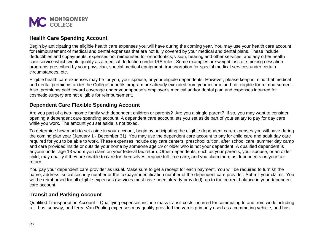

## <span id="page-26-0"></span>**Health Care Spending Account**

Begin by anticipating the eligible health care expenses you will have during the coming year. You may use your health care account for reimbursement of medical and dental expenses that are not fully covered by your medical and dental plans. These include deductibles and copayments, expenses not reimbursed for orthodontics, vision, hearing and other services, and any other health care service which would qualify as a medical deduction under IRS rules. Some examples are weight loss or smoking cessation programs prescribed by your physician, special medical equipment, transportation for special medical services under certain circumstances, etc.

Eligible health care expenses may be for you, your spouse, or your eligible dependents. However, please keep in mind that medical and dental premiums under the College benefits program are already excluded from your income and not eligible for reimbursement. Also, premiums paid toward coverage under your spouse's employer's medical and/or dental plan and expenses incurred for cosmetic surgery are not eligible for reimbursement.

## <span id="page-26-1"></span>**Dependent Care Flexible Spending Account**

Are you part of a two-income family with dependent children or parents? Are you a single parent? If so, you may want to consider opening a dependent care spending account. A dependent care account lets you set aside part of your salary to pay for day care while you work. The amount you set aside is not taxed.

To determine how much to set aside in your account, begin by anticipating the eligible dependent care expenses you will have during the coming plan year (January 1 - December 31). You may use the dependent care account to pay for child care and adult day care required for you to be able to work. These expenses include day care centers, preschool tuition, after school care, summer day camp and care provided inside or outside your home by someone age 19 or older who is not your dependent. A qualified dependent is anyone under age 13 whom you claim on your federal tax return. Other dependents, such as your parents, your spouse, or an older child, may qualify if they are unable to care for themselves, require full-time care, and you claim them as dependents on your tax return.

You pay your dependent care provider as usual. Make sure to get a receipt for each payment. You will be required to furnish the name, address, social security number or the taxpayer identification number of the dependent care provider. Submit your claims. You will be reimbursed for all eligible expenses (services must have been already provided), up to the current balance in your dependent care account.

## <span id="page-26-2"></span>**Transit and Parking Account**

Qualified Transportation Account – Qualifying expenses include mass transit costs incurred for commuting to and from work including rail, bus, subway, and ferry. Van Pooling expenses may qualify provided the van is primarily used as a commuting vehicle, and has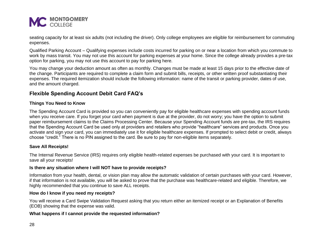

seating capacity for at least six adults (not including the driver). Only college employees are eligible for reimbursement for commuting expenses.

Qualified Parking Account – Qualifying expenses include costs incurred for parking on or near a location from which you commute to work by mass transit. You may not use this account for parking expenses at your home. Since the college already provides a pre-tax option for parking, you may not use this account to pay for parking here.

You may change your deduction amount as often as monthly. Changes must be made at least 15 days prior to the effective date of the change. Participants are required to complete a claim form and submit bills, receipts, or other written proof substantiating their expenses. The required itemization should include the following information: name of the transit or parking provider, dates of use, and the amount charged.

## <span id="page-27-0"></span>**Flexible Spending Account Debit Card FAQ's**

#### <span id="page-27-1"></span>**Things You Need to Know**

The Spending Account Card is provided so you can conveniently pay for eligible healthcare expenses with spending account funds when you receive care. If you forget your card when payment is due at the provider, do not worry; you have the option to submit paper reimbursement claims to the Claims Processing Center. Because your Spending Account funds are pre-tax, the IRS requires that the Spending Account Card be used only at providers and retailers who provide "healthcare" services and products. Once you activate and sign your card, you can immediately use it for eligible healthcare expenses. If prompted to select debit or credit, always choose "credit." There is no PIN assigned to the card. Be sure to pay for non-eligible items separately.

#### <span id="page-27-2"></span>**Save All Receipts!**

The Internal Revenue Service (IRS) requires only eligible health-related expenses be purchased with your card. It is important to save all your receipts!

#### **Is there any situation where I will NOT have to provide receipts?**

Information from your health, dental, or vision plan may allow the automatic validation of certain purchases with your card. However, if that information is not available, you will be asked to prove that the purchase was healthcare-related and eligible. Therefore, we highly recommended that you continue to save ALL receipts.

#### **How do I know if you need my receipts?**

You will receive a Card Swipe Validation Request asking that you return either an itemized receipt or an Explanation of Benefits (EOB) showing that the expense was valid.

#### **What happens if I cannot provide the requested information?**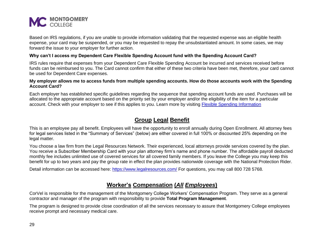

Based on IRS regulations, if you are unable to provide information validating that the requested expense was an eligible health expense, your card may be suspended, or you may be requested to repay the unsubstantiated amount. In some cases, we may forward the issue to your employer for further action.

#### **Why can't I access my Dependent Care Flexible Spending Account fund with the Spending Account Card?**

IRS rules require that expenses from your Dependent Care Flexible Spending Account be incurred and services received before funds can be reimbursed to you. The Card cannot confirm that either of these two criteria have been met, therefore, your card cannot be used for Dependent Care expenses.

#### **My employer allows me to access funds from multiple spending accounts. How do those accounts work with the Spending Account Card?**

<span id="page-28-0"></span>Each employer has established specific guidelines regarding the sequence that spending account funds are used. Purchases will be allocated to the appropriate account based on the priority set by your employer and/or the eligibility of the item for a particular account. Check with your employer to see if this applies to you. Learn more by visiting [Flexible Spending Information](https://info.montgomerycollege.edu/offices/human-resources/flexible-spending-accounts.html)

## **Group Legal Benefit**

This is an employee pay all benefit. Employees will have the opportunity to enroll annually during Open Enrollment. All attorney fees for legal services listed in the "Summary of Services" (below) are either covered in full 100% or discounted 25% depending on the legal matter.

You choose a law firm from the Legal Resources Network. Their experienced, local attorneys provide services covered by the plan. You receive a Subscriber Membership Card with your plan attorney firm's name and phone number. The affordable payroll deducted monthly fee includes unlimited use of covered services for all covered family members. If you leave the College you may keep this benefit for up to two years and pay the group rate in effect the plan provides nationwide coverage with the National Protection Rider.

<span id="page-28-1"></span>Detail information can be accessed here:<https://www.legalresources.com/> For questions, you may call 800 728 5768.

## **Worker's Compensation (***All Employees***)**

CorVel is responsible for the management of the Montgomery College Workers' Compensation Program. They serve as a general contractor and manager of the program with responsibility to provide **Total Program Management**.

The program is designed to provide close coordination of all the services necessary to assure that Montgomery College employees receive prompt and necessary medical care.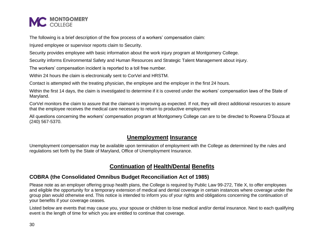

The following is a brief description of the flow process of a workers' compensation claim:

Injured employee or supervisor reports claim to Security.

Security provides employee with basic information about the work injury program at Montgomery College.

Security informs Environmental Safety and Human Resources and Strategic Talent Management about injury.

The workers' compensation incident is reported to a toll free number.

Within 24 hours the claim is electronically sent to CorVel and HRSTM.

Contact is attempted with the treating physician, the employee and the employer in the first 24 hours.

Within the first 14 days, the claim is investigated to determine if it is covered under the workers' compensation laws of the State of Maryland.

CorVel monitors the claim to assure that the claimant is improving as expected. If not, they will direct additional resources to assure that the employee receives the medical care necessary to return to productive employment

<span id="page-29-0"></span>All questions concerning the workers' compensation program at Montgomery College can are to be directed to Rowena D'Souza at (240) 567-5370.

## **Unemployment Insurance**

<span id="page-29-1"></span>Unemployment compensation may be available upon termination of employment with the College as determined by the rules and regulations set forth by the State of Maryland, Office of Unemployment Insurance.

## **Continuation of Health/Dental Benefits**

## <span id="page-29-2"></span>**COBRA (the Consolidated Omnibus Budget Reconciliation Act of 1985)**

Please note as an employer offering group health plans, the College is required by Public Law 99-272, Title X, to offer employees and eligible the opportunity for a temporary extension of medical and dental coverage in certain instances where coverage under the group plan would otherwise end. This notice is intended to inform you of your rights and obligations concerning the continuation of your benefits if your coverage ceases.

Listed below are events that may cause you, your spouse or children to lose medical and/or dental insurance. Next to each qualifying event is the length of time for which you are entitled to continue that coverage.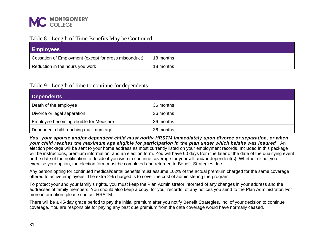

#### Table 8 - Length of Time Benefits May be Continued

<span id="page-30-0"></span>

| <b>Employees</b>                                      |           |
|-------------------------------------------------------|-----------|
| Cessation of Employment (except for gross misconduct) | 18 months |
| Reduction in the hours you work                       | 18 months |

#### Table 9 - Length of time to continue for dependents

<span id="page-30-1"></span>

| <b>Dependents</b>                       |           |
|-----------------------------------------|-----------|
| Death of the employee                   | 36 months |
| Divorce or legal separation             | 36 months |
| Employee becoming eligible for Medicare | 36 months |
| Dependent child reaching maximum age    | 36 months |

*You, your spouse and/or dependent child must notify HRSTM immediately upon divorce or separation, or when your child reaches the maximum age eligible for participation in the plan under which he/she was insured*. An election package will be sent to your home address as most currently listed on your employment records. Included in this package will be instructions, premium information, and an election form. You will have 60 days from the later of the date of the qualifying event or the date of the notification to decide if you wish to continue coverage for yourself and/or dependent(s). Whether or not you exercise your option, the election form must be completed and returned to Benefit Strategies, Inc.

Any person opting for continued medical/dental benefits must assume 102% of the actual premium charged for the same coverage offered to active employees. The extra 2% charged is to cover the cost of administering the program.

To protect your and your family's rights, you must keep the Plan Administrator informed of any changes in your address and the addresses of family members. You should also keep a copy, for your records, of any notices you send to the Plan Administrator. For more information, please contact HRSTM.

There will be a 45-day grace period to pay the initial premium after you notify Benefit Strategies, Inc. of your decision to continue coverage. You are responsible for paying any past due premium from the date coverage would have normally ceased.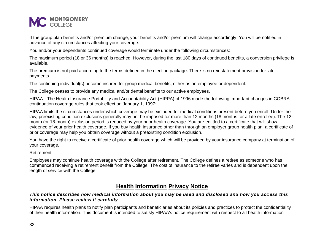

If the group plan benefits and/or premium change, your benefits and/or premium will change accordingly. You will be notified in advance of any circumstances affecting your coverage.

You and/or your dependents continued coverage would terminate under the following circumstances:

The maximum period (18 or 36 months) is reached. However, during the last 180 days of continued benefits, a conversion privilege is available.

The premium is not paid according to the terms defined in the election package. There is no reinstatement provision for late payments.

The continuing individual(s) become insured for group medical benefits, either as an employee or dependent.

The College ceases to provide any medical and/or dental benefits to our active employees.

HIPAA - The Health Insurance Portability and Accountability Act (HIPPA) of 1996 made the following important changes in COBRA continuation coverage rules that took effect on January 1, 1997:

HIPAA limits the circumstances under which coverage may be excluded for medical conditions present before you enroll. Under the law, preexisting condition exclusions generally may not be imposed for more than 12 months (18 months for a late enrollee). The 12 month (or 18-month) exclusion period is reduced by your prior health coverage. You are entitled to a certificate that will show evidence of your prior health coverage. If you buy health insurance other than through an employer group health plan, a certificate of prior coverage may help you obtain coverage without a preexisting condition exclusion.

You have the right to receive a certificate of prior health coverage which will be provided by your insurance company at termination of your coverage.

Retirement

<span id="page-31-0"></span>Employees may continue health coverage with the College after retirement. The College defines a retiree as someone who has commenced receiving a retirement benefit from the College. The cost of insurance to the retiree varies and is dependent upon the length of service with the College.

## **Health Information Privacy Notice**

#### *This notice describes how medical information about you may be used and disclosed and how you acc ess this information. Please review it carefully*

HIPAA requires health plans to notify plan participants and beneficiaries about its policies and practices to protect the confidentiality of their health information. This document is intended to satisfy HIPAA's notice requirement with respect to all health information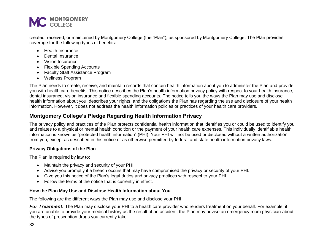

created, received, or maintained by Montgomery College (the "Plan"), as sponsored by Montgomery College. The Plan provides coverage for the following types of benefits:

- Health Insurance
- Dental Insurance
- Vision Insurance
- Flexible Spending Accounts
- Faculty Staff Assistance Program
- Wellness Program

The Plan needs to create, receive, and maintain records that contain health information about you to administer the Plan and provide you with health care benefits. This notice describes the Plan's health information privacy policy with respect to your health insurance, dental insurance, vision insurance and flexible spending accounts. The notice tells you the ways the Plan may use and disclose health information about you, describes your rights, and the obligations the Plan has regarding the use and disclosure of your health information. However, it does not address the health information policies or practices of your health care providers.

## <span id="page-32-0"></span>**Montgomery College's Pledge Regarding Health Information Privacy**

The privacy policy and practices of the Plan protects confidential health information that identifies you or could be used to identify you and relates to a physical or mental health condition or the payment of your health care expenses. This individually identifiable health information is known as "protected health information" (PHI). Your PHI will not be used or disclosed without a written authorization from you, except as described in this notice or as otherwise permitted by federal and state health information privacy laws.

#### <span id="page-32-1"></span>**Privacy Obligations of the Plan**

The Plan is required by law to:

- Maintain the privacy and security of your PHI.
- Advise you promptly if a breach occurs that may have compromised the privacy or security of your PHI.
- Give you this notice of the Plan's legal duties and privacy practices with respect to your PHI.
- Follow the terms of the notice that is currently in effect.

#### <span id="page-32-2"></span>**How the Plan May Use and Disclose Health Information about You**

The following are the different ways the Plan may use and disclose your PHI:

*For Treatment.* The Plan may disclose your PHI to a health care provider who renders treatment on your behalf. For example, if you are unable to provide your medical history as the result of an accident, the Plan may advise an emergency room physician about the types of prescription drugs you currently take.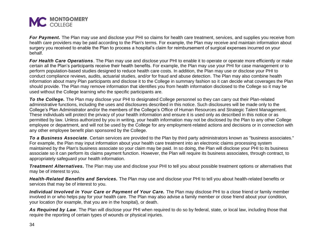

For Payment. The Plan may use and disclose your PHI so claims for health care treatment, services, and supplies you receive from health care providers may be paid according to the Plan's terms. For example, the Plan may receive and maintain information about surgery you received to enable the Plan to process a hospital's claim for reimbursement of surgical expenses incurred on your behalf.

For Health Care Operations. The Plan may use and disclose your PHI to enable it to operate or operate more efficiently or make certain all the Plan's participants receive their health benefits. For example, the Plan may use your PHI for case management or to perform population-based studies designed to reduce health care costs. In addition, the Plan may use or disclose your PHI to conduct compliance reviews, audits, actuarial studies, and/or for fraud and abuse detection. The Plan may also combine health information about many Plan participants and disclose it to the College in summary fashion so it can decide what coverages the Plan should provide. The Plan may remove information that identifies you from health information disclosed to the College so it may be used without the College learning who the specific participants are.

*To the College.* The Plan may disclose your PHI to designated College personnel so they can carry out their Plan-related administrative functions, including the uses and disclosures described in this notice. Such disclosures will be made only to the College's Plan Administrator and/or the members of the College's Office of Human Resources and Strategic Talent Management. These individuals will protect the privacy of your health information and ensure it is used only as described in this notice or as permitted by law. Unless authorized by you in writing, your health information may not be disclosed by the Plan to any other College employee or department, and will not be used by the College for any employment-related actions and decisions or in connection with any other employee benefit plan sponsored by the College.

*To a Business Associate*. Certain services are provided to the Plan by third party administrators known as "business associates." For example, the Plan may input information about your health care treatment into an electronic claims processing system maintained by the Plan's business associate so your claim may be paid. In so doing, the Plan will disclose your PHI to its business associate so it can perform its claims payment function. However, the Plan will require its business associates, through contract, to appropriately safeguard your health information.

*Treatment Alternatives.* The Plan may use and disclose your PHI to tell you about possible treatment options or alternatives that may be of interest to you.

*Health-Related Benefits and Services.* The Plan may use and disclose your PHI to tell you about health-related benefits or services that may be of interest to you.

*Individual Involved in Your Care or Payment of Your Care.* The Plan may disclose PHI to a close friend or family member involved in or who helps pay for your health care. The Plan may also advise a family member or close friend about your condition, your location (for example, that you are in the hospital), or death.

As Required by Law. The Plan will disclose your PHI when required to do so by federal, state, or local law, including those that require the reporting of certain types of wounds or physical injuries.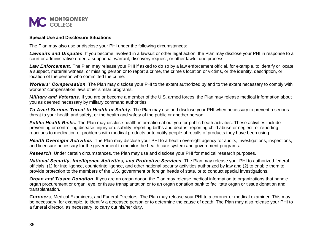

#### <span id="page-34-0"></span>**Special Use and Disclosure Situations**

The Plan may also use or disclose your PHI under the following circumstances:

*Lawsuits and Disputes*. If you become involved in a lawsuit or other legal action, the Plan may disclose your PHI in response to a court or administrative order, a subpoena, warrant, discovery request, or other lawful due process.

*Law Enforcement*. The Plan may release your PHI if asked to do so by a law enforcement official, for example, to identify or locate a suspect, material witness, or missing person or to report a crime, the crime's location or victims, or the identity, description, or location of the person who committed the crime.

*Workers' Compensation*. The Plan may disclose your PHI to the extent authorized by and to the extent necessary to comply with workers' compensation laws other similar programs.

*Military and Veterans*. If you are or become a member of the U.S. armed forces, the Plan may release medical information about you as deemed necessary by military command authorities.

*To Avert Serious Threat to Health or Safety.* The Plan may use and disclose your PHI when necessary to prevent a serious threat to your health and safety, or the health and safety of the public or another person.

**Public Health Risks.** The Plan may disclose health information about you for public heath activities. These activities include preventing or controlling disease, injury or disability; reporting births and deaths; reporting child abuse or neglect; or reporting reactions to medication or problems with medical products or to notify people of recalls of products they have been using.

*Health Oversight Activities*. The Plan may disclose your PHI to a health oversight agency for audits, investigations, inspections, and licensure necessary for the government to monitor the health care system and government programs.

*Research*. Under certain circumstances, the Plan may use and disclose your PHI for medical research purposes.

*National Security, Intelligence Activities, and Protective Services*. The Plan may release your PHI to authorized federal officials: (1) for intelligence, counterintelligence, and other national security activities authorized by law and (2) to enable them to provide protection to the members of the U.S. government or foreign heads of state, or to conduct special investigations.

*Organ and Tissue Donation*. If you are an organ donor, the Plan may release medical information to organizations that handle organ procurement or organ, eye, or tissue transplantation or to an organ donation bank to facilitate organ or tissue donation and transplantation.

*Coroners*, Medical Examiners, and Funeral Directors. The Plan may release your PHI to a coroner or medical examiner. This may be necessary, for example, to identify a deceased person or to determine the cause of death. The Plan may also release your PHI to a funeral director, as necessary, to carry out his/her duty.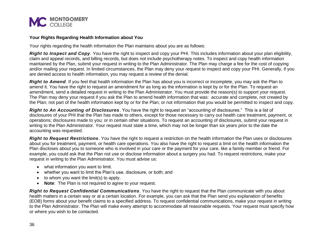

#### <span id="page-35-0"></span>**Your Rights Regarding Health Information about You**

Your rights regarding the health information the Plan maintains about you are as follows:

*Right to Inspect and Copy*. You have the right to inspect and copy your PHI. This includes information about your plan eligibility, claim and appeal records, and billing records, but does not include psychotherapy notes. To inspect and copy health information maintained by the Plan, submit your request in writing to the Plan Administrator. The Plan may charge a fee for the cost of copying and/or mailing your request. In limited circumstances, the Plan may deny your request to inspect and copy your PHI. Generally, if you are denied access to health information, you may request a review of the denial.

*Right to Amend.* If you feel that health information the Plan has about you is incorrect or incomplete, you may ask the Plan to amend it. You have the right to request an amendment for as long as the information is kept by or for the Plan. To request an amendment, send a detailed request in writing to the Plan Administrator. You must provide the reason(s) to support your request. The Plan may deny your request if you ask the Plan to amend health information that was: accurate and complete, not created by the Plan; not part of the health information kept by or for the Plan; or not information that you would be permitted to inspect and copy.

*Right to An Accounting of Disclosures*. You have the right to request an "accounting of disclosures." This is a list of disclosures of your PHI that the Plan has made to others, except for those necessary to carry out health care treatment, payment, or operations; disclosures made to you; or in certain other situations. To request an accounting of disclosures, submit your request in writing to the Plan Administrator. Your request must state a time, which may not be longer than six years prior to the date the accounting was requested.

*Right to Request Restrictions*. You have the right to request a restriction on the health information the Plan uses or disclosures about you for treatment, payment, or health care operations. You also have the right to request a limit on the health information the Plan discloses about you to someone who is involved in your care or the payment for your care, like a family member or friend. For example, you could ask that the Plan not use or disclose information about a surgery you had. To request restrictions, make your request in writing to the Plan Administrator. You must advise us:

- what information you want to limit.
- whether you want to limit the Plan's use, disclosure, or both; and
- $\bullet$  to whom you want the limit(s) to apply.
- **Note**: The Plan is not required to agree to your request.

*Right to Request Confidential Communications*. You have the right to request that the Plan communicate with you about health matters in a certain way or at a certain location. For example, you can ask that the Plan send you explanation of benefits (EOB) forms about your benefit claims to a specified address. To request confidential communications, make your request in writing to the Plan Administrator. The Plan will make every attempt to accommodate all reasonable requests. Your request must specify how or where you wish to be contacted.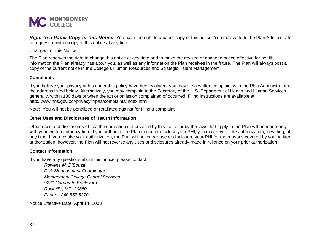

*Right to a Paper Copy of this Notice*. You have the right to a paper copy of this notice. You may write to the Plan Administrator to request a written copy of this notice at any time.

Changes to This Notice

The Plan reserves the right to change this notice at any time and to make the revised or changed notice effective for health information the Plan already has about you, as well as any information the Plan receives in the future. The Plan will always post a copy of the current notice in the College's Human Resources and Strategic Talent Management.

#### <span id="page-36-0"></span>**Complaints**

If you believe your privacy rights under this policy have been violated, you may file a written complaint with the Plan Administrator at the address listed below. Alternatively, you may complain to the Secretary of the U.S. Department of Health and Human Services, generally, within 180 days of when the act or omission complained of occurred. Filing instructions are available at: http://www.hhs.gov/ocr/privacy/hipaa/complaints/index.html

Note: You will not be penalized or retaliated against for filing a complaint.

#### <span id="page-36-1"></span>**Other Uses and Disclosures of Health Information**

Other uses and disclosures of health information not covered by this notice or by the laws that apply to the Plan will be made only with your written authorization. If you authorize the Plan to use or disclose your PHI, you may revoke the authorization, in writing, at any time. If you revoke your authorization, the Plan will no longer use or disclosure your PHI for the reasons covered by your written authorization; however, the Plan will not reverse any uses or disclosures already made in reliance on your prior authorization.

#### <span id="page-36-2"></span>**Contact Information**

If you have any questions about this notice, please contact:

*Rowena M. D'Souza Risk Management Coordinator Montgomery College Central Services 9221 Corporate Boulevard Rockville, MD 20850 Phone: 240.567.5370*

Notice Effective Date: April 14, 2003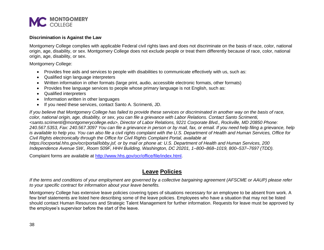

#### <span id="page-37-0"></span>**Discrimination is Against the Law**

Montgomery College complies with applicable Federal civil rights laws and does not discriminate on the basis of race, color, national origin, age, disability, or sex. Montgomery College does not exclude people or treat them differently because of race, color, national origin, age, disability, or sex.

Montgomery College:

- Provides free aids and services to people with disabilities to communicate effectively with us, such as:
- Qualified sign language interpreters
- Written information in other formats (large print, audio, accessible electronic formats, other formats)
- Provides free language services to people whose primary language is not English, such as:
- Qualified interpreters
- Information written in other languages
- If you need these services, contact Santo A. Scrimenti, JD.

*If you believe that Montgomery College has failed to provide these services or discriminated in another way on the basis of race, color, national origin, age, disability, or sex, you can file a grievance with Labor Relations. Contact Santo Scrimenti, <santo.scrimenti@montgomerycollege.edu>, Director of Labor Relations, 9221 Corporate Blvd., Rockville, MD 20850 Phone: 240.567.5353, Fax: 240.567.3097 You can file a grievance in person or by mail, fax, or email. If you need help filing a grievance, help is available to help you. You can also file a civil rights complaint with the U.S. Department of Health and Human Services, Office for Civil Rights electronically through the Office for Civil Rights Complaint Portal, available at https://ocrportal.hhs.gov/ocr/portal/lobby.jsf, or by mail or phone at: U.S. Department of Health and Human Services, 200 Independence Avenue SW., Room 509F, HHH Building, Washington, DC 20201, 1–800–868–1019, 800–537–7697 (TDD).*

<span id="page-37-1"></span>Complaint forms are available at [http://www.hhs.gov/ocr/office/file/index.html.](http://www.hhs.gov/ocr/office/file/index.html)

## **Leave Policies**

*If the terms and conditions of your employment are governed by a collective bargaining agreement (AFSCME or AAUP) please refer to your specific contract for information about your leave benefits.*

Montgomery College has extensive leave policies covering types of situations necessary for an employee to be absent from work. A few brief statements are listed here describing some of the leave policies. Employees who have a situation that may not be listed should contact Human Resources and Strategic Talent Management for further information. Requests for leave must be approved by the employee's supervisor before the start of the leave.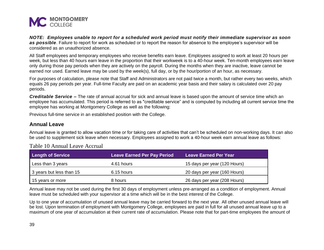

*NOTE: Employees unable to report for a scheduled work period must notify their immediate supervisor as soon as possible*. Failure to report for work as scheduled or to report the reason for absence to the employee's supervisor will be considered as an unauthorized absence.

All Staff employees and temporary employees who receive benefits earn leave. Employees assigned to work at least 20 hours per week, but less than 40 hours earn leave in the proportion that their workweek is to a 40-hour week. Ten-month employees earn leave only during those pay periods when they are actively on the payroll. During the months when they are inactive, leave cannot be earned nor used. Earned leave may be used by the week(s), full day, or by the hour/portion of an hour, as necessary.

For purposes of calculation, please note that Staff and Administrators are not paid twice a month, but rather every two weeks, which equals 26 pay periods per year. Full-time Faculty are paid on an academic year basis and their salary is calculated over 20 pay periods.

*Creditable Service –* The rate of annual accrual for sick and annual leave is based upon the amount of service time which an employee has accumulated. This period is referred to as "creditable service" and is computed by including all current service time the employee has working at Montgomery College as well as the following:

Previous full-time service in an established position with the College.

## <span id="page-38-0"></span>**Annual Leave**

Annual leave is granted to allow vacation time or for taking care of activities that can't be scheduled on non-working days. It can also be used to supplement sick leave when necessary. Employees assigned to work a 40-hour week earn annual leave as follows:

| <b>Length of Service</b> | <b>Leave Earned Per Pay Period</b> | Leave Earned Per Year        |
|--------------------------|------------------------------------|------------------------------|
| Less than 3 years        | 4.61 hours                         | 15 days per year (120 Hours) |
| 3 years but less than 15 | 6.15 hours                         | 20 days per year (160 Hours) |
| 15 years or more         | 8 hours                            | 26 days per year (208 Hours) |

## Table 10 Annual Leave Accrual

Annual leave may not be used during the first 30 days of employment unless pre-arranged as a condition of employment. Annual leave must be scheduled with your supervisor at a time which will be in the best interest of the College.

Up to one year of accumulation of unused annual leave may be carried forward to the next year. All other unused annual leave will be lost. Upon termination of employment with Montgomery College, employees are paid in full for all unused annual leave up to a maximum of one year of accumulation at their current rate of accumulation. Please note that for part-time employees the amount of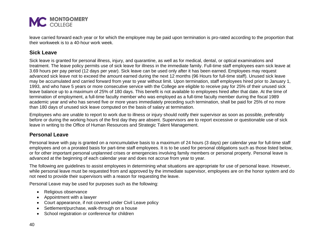

leave carried forward each year or for which the employee may be paid upon termination is pro-rated according to the proportion that their workweek is to a 40-hour work week.

## <span id="page-39-0"></span>**Sick Leave**

Sick leave is granted for personal illness, injury, and quarantine, as well as for medical, dental, or optical examinations and treatment. The leave policy permits use of sick leave for illness in the immediate family. Full-time staff employees earn sick leave at 3.69 hours per pay period (12 days per year). Sick leave can be used only after it has been earned. Employees may request advanced sick leave not to exceed the amount earned during the next 12 months (96 Hours for full-time staff). Unused sick leave may be accumulated and carried forward from year to year without limit. Upon termination, staff employees hired prior to January 1, 1993, and who have 5 years or more consecutive service with the College are eligible to receive pay for 25% of their unused sick leave balance up to a maximum of 25% of 180 days. This benefit is not available to employees hired after that date. At the time of termination of employment, a full-time faculty member who was employed as a full-time faculty member during the fiscal 1989 academic year and who has served five or more years immediately preceding such termination, shall be paid for 25% of no more than 180 days of unused sick leave computed on the basis of salary at termination.

Employees who are unable to report to work due to illness or injury should notify their supervisor as soon as possible, preferably before or during the working hours of the first day they are absent. Supervisors are to report excessive or questionable use of sick leave in writing to the Office of Human Resources and Strategic Talent Management.

## <span id="page-39-1"></span>**Personal Leave**

Personal leave with pay is granted on a noncumulative basis to a maximum of 24 hours (3 days) per calendar year for full-time staff employees and on a prorated basis for part-time staff employees. It is to be used for personal obligations such as those listed below, or for other important personal unplanned crises or emergencies involving family members or personal property. Personal leave is advanced at the beginning of each calendar year and does not accrue from year to year.

The following are guidelines to assist employees in determining what situations are appropriate for use of personal leave. However, while personal leave must be requested from and approved by the immediate supervisor, employees are on the honor system and do not need to provide their supervisors with a reason for requesting the leave.

Personal Leave may be used for purposes such as the following:

- Religious observance
- Appointment with a lawyer
- Court appearance, if not covered under Civil Leave policy
- Settlement/purchase, walk-through on a house
- School registration or conference for children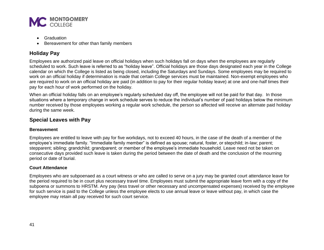

- Graduation
- Bereavement for other than family members

## <span id="page-40-0"></span>**Holiday Pay**

Employees are authorized paid leave on official holidays when such holidays fall on days when the employees are regularly scheduled to work. Such leave is referred to as "holiday leave". Official holidays are those days designated each year in the College calendar on which the College is listed as being closed, including the Saturdays and Sundays. Some employees may be required to work on an official holiday if determination is made that certain College services must be maintained. Non-exempt employees who are required to work on an official holiday are paid (in addition to pay for their regular holiday leave) at one and one-half times their pay for each hour of work performed on the holiday.

When an official holiday falls on an employee's regularly scheduled day off, the employee will not be paid for that day. In those situations where a temporary change in work schedule serves to reduce the individual's number of paid holidays below the minimum number received by those employees working a regular work schedule, the person so affected will receive an alternate paid holiday during the same week.

## <span id="page-40-1"></span>**Special Leaves with Pay**

#### <span id="page-40-2"></span>**Bereavement**

Employees are entitled to leave with pay for five workdays, not to exceed 40 hours, in the case of the death of a member of the employee's immediate family. "Immediate family member" is defined as spouse; natural, foster, or stepchild; in-law; parent; stepparent; sibling; grandchild; grandparent; or member of the employee's immediate household. Leave need not be taken on consecutive days provided such leave is taken during the period between the date of death and the conclusion of the mourning period or date of burial.

#### <span id="page-40-3"></span>**Court Attendance**

Employees who are subpoenaed as a court witness or who are called to serve on a jury may be granted court attendance leave for the period required to be in court plus necessary travel time. Employees must submit the appropriate leave form with a copy of the subpoena or summons to HRSTM. Any pay (less travel or other necessary and uncompensated expenses) received by the employee for such service is paid to the College unless the employee elects to use annual leave or leave without pay, in which case the employee may retain all pay received for such court service.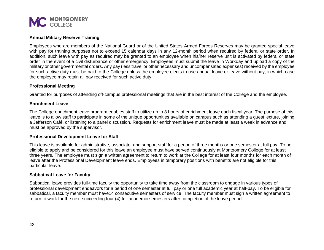

#### <span id="page-41-0"></span>**Annual Military Reserve Training**

Employees who are members of the National Guard or of the United States Armed Forces Reserves may be granted special leave with pay for training purposes not to exceed 15 calendar days in any 12-month period when required by federal or state order. In addition, such leave with pay as required may be granted to an employee when his/her reserve unit is activated by federal or state order in the event of a civil disturbance or other emergency. Employees must submit the leave in Workday and upload a copy of the military or other governmental orders. Any pay (less travel or other necessary and uncompensated expenses) received by the employee for such active duty must be paid to the College unless the employee elects to use annual leave or leave without pay, in which case the employee may retain all pay received for such active duty.

#### <span id="page-41-1"></span>**Professional Meeting**

Granted for purposes of attending off-campus professional meetings that are in the best interest of the College and the employee.

#### <span id="page-41-2"></span>**Enrichment Leave**

The College enrichment leave program enables staff to utilize up to 8 hours of enrichment leave each fiscal year. The purpose of this leave is to allow staff to participate in some of the unique opportunities available on campus such as attending a guest lecture, joining a Jefferson Café, or listening to a panel discussion. Requests for enrichment leave must be made at least a week in advance and must be approved by the supervisor.

#### <span id="page-41-3"></span>**Professional Development Leave for Staff**

This leave is available for administrative, associate, and support staff for a period of three months or one semester at full pay. To be eligible to apply and be considered for this leave an employee must have served continuously at Montgomery College for at least three years. The employee must sign a written agreement to return to work at the College for at least four months for each month of leave after the Professional Development leave ends. Employees in temporary positions with benefits are not eligible for this particular leave.

#### <span id="page-41-4"></span>**Sabbatical Leave for Faculty**

Sabbatical leave provides full-time faculty the opportunity to take time away from the classroom to engage in various types of professional development endeavors for a period of one semester at full pay or one full academic year at half-pay. To be eligible for sabbatical, a faculty member must have14 consecutive semesters of service. The faculty member must sign a written agreement to return to work for the next succeeding four (4) full academic semesters after completion of the leave period.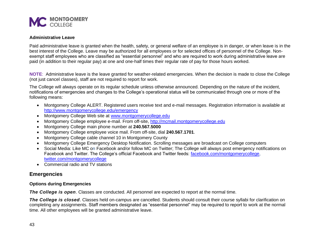

#### <span id="page-42-0"></span>**Administrative Leave**

Paid administrative leave is granted when the health, safety, or general welfare of an employee is in danger, or when leave is in the best interest of the College. Leave may be authorized for all employees or for selected offices of personnel of the College. Nonexempt staff employees who are classified as "essential personnel" and who are required to work during administrative leave are paid (in addition to their regular pay) at one and one-half times their regular rate of pay for those hours worked.

**NOTE**: Administrative leave is the leave granted for weather-related emergencies. When the decision is made to close the College (not just cancel classes), staff are not required to report for work.

The College will always operate on its regular schedule unless otherwise announced. Depending on the nature of the incident, notifications of emergencies and changes to the College's operational status will be communicated through one or more of the following means:

- Montgomery College ALERT. Registered users receive text and e-mail messages. Registration information is available at <http://www.montgomerycollege.edu/emergency>
- Montgomery College Web site at [www.montgomerycollege.edu](http://www.montgomerycollege.edu/)
- Montgomery College employee e-mail. From off-site, [http://mcmail.montgomerycollege.edu](http://mcmail.montgomerycollege.edu/)
- Montgomery College main phone number at **240.567.5000**
- Montgomery College employee voice mail. From off-site, dial **240.567.1701**.
- Montgomery College cable channel 10 in Montgomery County
- Montgomery College Emergency Desktop Notification. Scrolling messages are broadcast on College computers
- Social Media: Like MC on Facebook and/or follow MC on Twitter; The College will always post emergency notifications on Facebook and Twitter. The College's official Facebook and Twitter feeds: [facebook.com/montgomerycollege,](http://www.facebook.com/montgomerycollege) [twitter.com/montgomerycolle](http://www.twitter.com/montgomerycoll)ge
- Commercial radio and TV stations

## <span id="page-42-1"></span>**Emergencies**

#### <span id="page-42-2"></span>**Options during Emergencies**

*The College is open*. Classes are conducted. All personnel are expected to report at the normal time.

*The College is closed*. Classes held on-campus are cancelled. Students should consult their course syllabi for clarification on completing any assignments. Staff members designated as "essential personnel" may be required to report to work at the normal time. All other employees will be granted administrative leave.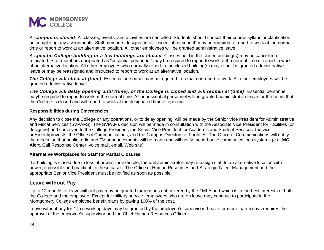

*A campus is closed*. All classes, events, and activities are cancelled. Students should consult their course syllabi for clarification on completing any assignments. Staff members designated as "essential personnel" may be required to report to work at the normal time or report to work at an alternative location. All other employees will be granted administrative leave.

*A specific College building or a few buildings are closed*. Classes held in the closed building(s) may be cancelled or relocated. Staff members designated as "essential personnel" may be required to report to work at the normal time or report to work at an alternative location. All other employees who normally report to the closed building(s) may either be granted administrative leave or may be reassigned and instructed to report to work at an alternative location.

*The College will close at (time)*. Essential personnel may be required to remain or report to work. All other employees will be granted administrative leave.

*The College will delay opening until (time), or the College is closed and will reopen at (time).* Essential personnel maybe required to report to work at the normal time. All nonessential personnel will be granted administrative leave for the hours that the College is closed and will report to work at the designated time of opening.

#### <span id="page-43-0"></span>**Responsibilities during Emergencies**

Any decision to close the College or any operations, or to delay opening, will be made by the Senior Vice President for Administrative and Fiscal Services (SVPAFS). The SVPAF's decision will be made in consultation with the Associate Vice President for Facilities (or designee) and conveyed to the College President, the Senior Vice President for Academic and Student Services, the vice president/provosts, the Office of Communications, and the Campus Directors of Facilities. The Office of Communications will notify the media, so that public radio and TV announcements will be made and will notify the in-house communications systems (e.g. **MC Alert**, Call Response Center, voice mail, email, Web site).

#### <span id="page-43-1"></span>**Alternative Workplaces for Staff for Partial Closures**

If a building is closed due to loss of power, for example, the unit administrator may re-assign staff to an alternative location with power, if possible and practical. In these cases, The Office of Human Resources and Strategic Talent Management and the appropriate Senior Vice President must be notified as soon as possible.

## <span id="page-43-2"></span>**Leave without Pay**

Up to 12 months of leave without pay may be granted for reasons not covered by the FMLA and which is in the best interests of both the College and the employee. Except for military service, employees who are on leave may continue to participate in the Montgomery College employee benefit plans by paying 100% of the cost.

Leave without pay for 1 to 5 working days may be granted by the employee's supervisor. Leave for more than 5 days requires the approval of the employee's supervisor and the Chief Human Resources Officer.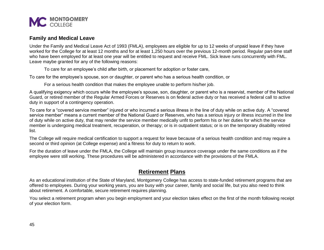

### <span id="page-44-0"></span>**Family and Medical Leave**

Under the Family and Medical Leave Act of 1993 (FMLA), employees are eligible for up to 12 weeks of unpaid leave if they have worked for the College for at least 12 months and for at least 1,250 hours over the previous 12-month period. Regular part-time staff who have been employed for at least one year will be entitled to request and receive FML. Sick leave runs concurrently with FML. Leave maybe granted for any of the following reasons:

To care for an employee's child after birth, or placement for adoption or foster care,

To care for the employee's spouse, son or daughter, or parent who has a serious health condition, or

For a serious health condition that makes the employee unable to perform his/her job.

A qualifying exigency which occurs while the employee's spouse, son, daughter, or parent who is a reservist, member of the National Guard, or retired member of the Regular Armed Forces or Reserves is on federal active duty or has received a federal call to active duty in support of a contingency operation.

To care for a "covered service member" injured or who incurred a serious illness in the line of duty while on active duty. A "covered service member" means a current member of the National Guard or Reserves, who has a serious injury or illness incurred in the line of duty while on active duty, that may render the service member medically unfit to perform his or her duties for which the service member is undergoing medical treatment, recuperation, or therapy; or is in outpatient status; or is on the temporary disability retired list.

The College will require medical certification to support a request for leave because of a serious health condition and may require a second or third opinion (at College expense) and a fitness for duty to return to work.

<span id="page-44-1"></span>For the duration of leave under the FMLA, the College will maintain group insurance coverage under the same conditions as if the employee were still working. These procedures will be administered in accordance with the provisions of the FMLA.

## **Retirement Plans**

As an educational institution of the State of Maryland, Montgomery College has access to state-funded retirement programs that are offered to employees. During your working years, you are busy with your career, family and social life, but you also need to think about retirement. A comfortable, secure retirement requires planning.

You select a retirement program when you begin employment and your election takes effect on the first of the month following receipt of your election form.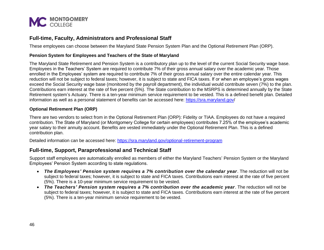

## <span id="page-45-0"></span>**Full-time, Faculty, Administrators and Professional Staff**

These employees can choose between the Maryland State Pension System Plan and the Optional Retirement Plan (ORP).

#### <span id="page-45-1"></span>**Pension System for Employees and Teachers of the State of Maryland**

The Maryland State Retirement and Pension System is a contributory plan up to the level of the current Social Security wage base. Employees in the Teachers' System are required to contribute 7% of their gross annual salary over the academic year. Those enrolled in the Employees' system are required to contribute 7% of their gross annual salary over the entire calendar year. This reduction will not be subject to federal taxes; however, it is subject to state and FICA taxes. If or when an employee's gross wages exceed the Social Security wage base (monitored by the payroll department), the individual would contribute seven (7%) to the plan. Contributions earn interest at the rate of five percent (5%). The State contribution to the MSRPS is determined annually by the State Retirement system's Actuary. There is a ten-year minimum service requirement to be vested. This is a defined benefit plan. Detailed information as well as a personal statement of benefits can be accessed here:<https://sra.maryland.gov/>

#### <span id="page-45-2"></span>**Optional Retirement Plan (ORP)**

There are two vendors to select from in the Optional Retirement Plan (ORP): Fidelity or TIAA. Employees do not have a required contribution. The State of Maryland (or Montgomery College for certain employees) contributes 7.25% of the employee's academic year salary to their annuity account. Benefits are vested immediately under the Optional Retirement Plan. This is a defined contribution plan.

Detailed information can be accessed here:<https://sra.maryland.gov/optional-retirement-program>

## <span id="page-45-3"></span>**Full-time, Support, Paraprofessional and Technical Staff**

Support staff employees are automatically enrolled as members of either the Maryland Teachers' Pension System or the Maryland Employees' Pension System according to state regulations.

- *The Employees' Pension system requires a 7% contribution over the calendar year*. The reduction will not be subject to federal taxes; however, it is subject to state and FICA taxes. Contributions earn interest at the rate of five percent (5%). There is a 10-year minimum service requirement to be vested.
- *The Teachers' Pension system requires a 7% contribution over the academic year*. The reduction will not be subject to federal taxes; however, it is subject to state and FICA taxes. Contributions earn interest at the rate of five percent (5%). There is a ten-year minimum service requirement to be vested.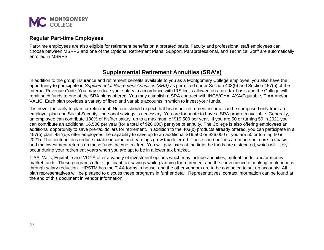

#### <span id="page-46-0"></span>**Regular Part-time Employees**

<span id="page-46-1"></span>Part-time employees are also eligible for retirement benefits on a prorated basis. Faculty and professional staff employees can choose between MSRPS and one of the Optional Retirement Plans. Support, Paraprofessional, and Technical Staff are automatically enrolled in MSRPS.

## **Supplemental Retirement Annuities (SRA's)**

In addition to the group insurance and retirement benefits available to you as a Montgomery College employee, you also have the opportunity to participate in *Supplemental Retirement Annuities (SRA)* as permitted under Section 403(b) and Section 457(b) of the Internal Revenue Code. You may reduce your salary in accordance with IRS limits allowed on a pre-tax basis and the College will remit such funds to one of the SRA plans offered. You may establish a SRA contract with ING/VOYA, AXA/Equitable, TIAA and/or VALIC. Each plan provides a variety of fixed and variable accounts in which to invest your funds.

It is never too early to plan for retirement. No one should expect that his or her retirement income can be comprised only from an employer plan and Social Security - personal savings is necessary. You are fortunate to have a SRA program available. Generally, an employee can contribute 100% of his/her salary, up to a maximum of \$19,500 per year. If you are 50 or turning 50 in 2021 you can contribute an additional \$6,500 per year (for a total of \$26,000) per type of annuity. The College is also offering employees an additional opportunity to save pre-tax dollars for retirement. In addition to the 403(b) products already offered, you can participate in a 457(b) plan. 457(b)s offer employees the capability to save up to an additional \$19,500 or \$26,000 (if you are 50 or turning 50 in 2021). The contributions reduce taxable income and earnings grow tax deferred. These contributions are made on a pre-tax basis and the investment returns on these funds accrue tax free. You will pay taxes at the time the funds are distributed, which will likely occur during your retirement years when you are apt to be in a lower tax bracket.

TIAA, Valic, Equitable and VOYA offer a variety of investment options which may include annuities, mutual funds, and/or money market funds. These programs offer significant tax savings while planning for retirement and the convenience of making contributions through salary reduction**.** HRSTM has the TIAA forms in house, and the other vendors are to be contacted to set up accounts. All plan representatives will be pleased to discuss these programs in further detail. Representatives' contact information can be found at the end of this document in vendor Information.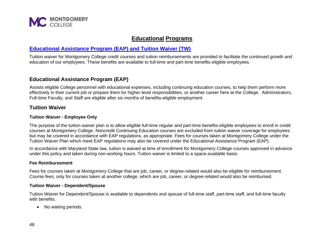

## **Educational Programs**

## <span id="page-47-1"></span><span id="page-47-0"></span>**[Educational Assistance Program \(EAP\) and Tuition Waiver \(TW\)](https://info.montgomerycollege.edu/offices/human-resources/tuition-waiver.html)**

Tuition waiver for Montgomery College credit courses and tuition reimbursements are provided to facilitate the continued growth and education of our employees. These benefits are available to full-time and part-time benefits-eligible employees.

## <span id="page-47-2"></span>**Educational Assistance Program (EAP)**

Assists eligible College personnel with educational expenses, including continuing education courses, to help them perform more effectively in their current job or prepare them for higher-level responsibilities, or another career here at the College. Administrators, Full-time Faculty, and Staff are eligible after six months of benefits-eligible employment.

## <span id="page-47-3"></span>**Tuition Waiver**

#### <span id="page-47-4"></span>**Tuition Waiver - Employee Only**

The purpose of the tuition waiver plan is to allow eligible full-time regular and part-time benefits-eligible employees to enroll in credit courses at Montgomery College. Noncredit Continuing Education courses are excluded from tuition waiver coverage for employees but may be covered in accordance with EAP regulations, as appropriate. Fees for courses taken at Montgomery College under the Tuition Waiver Plan which meet EAP regulations may also be covered under the Educational Assistance Program (EAP).

In accordance with Maryland State law, tuition is waived at time of enrollment for Montgomery College courses approved in advance under this policy and taken during non-working hours. Tuition waiver is limited to a space-available basis.

#### <span id="page-47-5"></span>**Fee Reimbursement**

Fees for courses taken at Montgomery College that are job, career, or degree-related would also be eligible for reimbursement. Course fees, only for courses taken at another college, which are job, career, or degree-related would also be reimbursed.

#### <span id="page-47-6"></span>**Tuition Waiver - Dependent/Spouse**

Tuition Waiver for Dependent/Spouse is available to dependents and spouse of full-time staff, part-time staff, and full-time faculty with benefits.

• No waiting periods.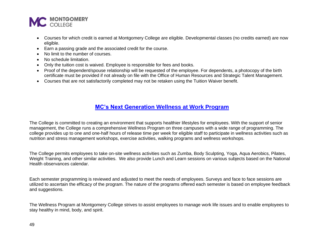

- Courses for which credit is earned at Montgomery College are eligible. Developmental classes (no credits earned) are now eligible.
- Earn a passing grade and the associated credit for the course.
- No limit to the number of courses.
- No schedule limitation.
- Only the tuition cost is waived. Employee is responsible for fees and books.
- Proof of the dependent/spouse relationship will be requested of the employee. For dependents, a photocopy of the birth certificate must be provided if not already on file with the Office of Human Resources and Strategic Talent Management.
- Courses that are not satisfactorily completed may not be retaken using the Tuition Waiver benefit.

## <span id="page-48-0"></span>**[MC's Next Generation Wellness](https://info.montgomerycollege.edu/offices/human-resources/wellness.html) at Work Program**

The College is committed to creating an environment that supports healthier lifestyles for employees. With the support of senior management, the College runs a comprehensive Wellness Program on three campuses with a wide range of programming. The college provides up to one and one-half hours of release time per week for eligible staff to participate in wellness activities such as nutrition and stress management workshops, exercise activities, walking programs and wellness workshops.

The College permits employees to take on-site wellness activities such as Zumba, Body Sculpting, Yoga, Aqua Aerobics, Pilates, Weight Training, and other similar activities. We also provide Lunch and Learn sessions on various subjects based on the National Health observances calendar.

Each semester programming is reviewed and adjusted to meet the needs of employees. Surveys and face to face sessions are utilized to ascertain the efficacy of the program. The nature of the programs offered each semester is based on employee feedback and suggestions.

The Wellness Program at Montgomery College strives to assist employees to manage work life issues and to enable employees to stay healthy in mind, body, and spirit.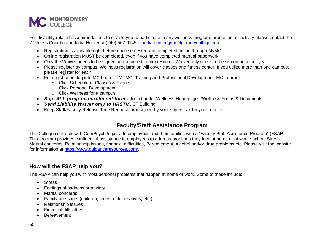

For disability related accommodations to enable you to participate in any wellness program, promotion, or activity please contact the Wellness Coordinator, India Hunter at (240) 567-9145 or [india.hunter@montgomerycollege.edu](mailto:india.hunter@montgomerycollege.edu)

- Registration is available right before each semester and completed online through MyMC.
- Online registration MUST be completed, even if you have completed manual paperwork.
- Only the Waiver needs to be signed and returned to India Hunter. Waiver only needs to be signed once per year.
- Please register by campus, Wellness registration will cover classes and fitness center. If you utilize more than one campus, please register for each.
- For registration, log into MC Learns: (MYMC, Training and Professional Development, MC Learns)
	- o Click Schedule of Classes & Events
	- o Click Personal Development
	- o Click Wellness for a campus
- *Sign ALL program enrollment forms* (found under Wellness Homepage- "Wellness Forms & Documents")
- *Send Liability Waiver only to HRSTM*, CT Building
- <span id="page-49-0"></span>• Keep Staff/Faculty Release Time Request form signed by your supervisor for your records

## **Faculty/Staff Assistance Program**

The College contracts with ComPsych to provide employees and their families with a "Faculty Staff Assistance Program" (FSAP). This program provides confidential assistance to employees to address problems they face at home or at work such as Stress, Marital concerns, Relationship issues, financial difficulties, Bereavement, Alcohol and/or drug problems etc. Please visit the website for information at [https://www.guidanceresources.com/.](https://www.guidanceresources.com/)

## <span id="page-49-1"></span>**How will the FSAP help you?**

The FSAP can help you with most personal problems that happen at home or work. Some of these include:

- Stress
- Feelings of sadness or anxiety
- Marital concerns
- Family pressures (children, teens, older relatives, etc.)
- Relationship issues
- Financial difficulties
- Bereavement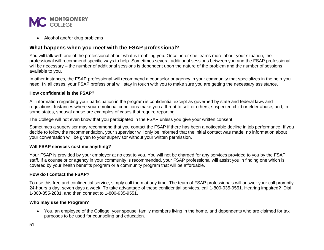

• Alcohol and/or drug problems

## <span id="page-50-0"></span>**What happens when you meet with the FSAP professional?**

You will talk with one of the professional about what is troubling you. Once he or she learns more about your situation, the professional will recommend specific ways to help. Sometimes several additional sessions between you and the FSAP professional will be necessary – the number of additional sessions is dependent upon the nature of the problem and the number of sessions available to you.

In other instances, the FSAP professional will recommend a counselor or agency in your community that specializes in the help you need. IN all cases, your FSAP professional will stay in touch with you to make sure you are getting the necessary assistance.

#### <span id="page-50-1"></span>**How confidential is the FSAP?**

All information regarding your participation in the program is confidential except as governed by state and federal laws and regulations. Instances where your emotional conditions make you a threat to self or others, suspected child or elder abuse, and, in some states, spousal abuse are examples of cases that require reporting.

The College will not even know that you participated in the FSAP unless you give your written consent.

Sometimes a supervisor may recommend that you contact the FSAP if there has been a noticeable decline in job performance. If you decide to follow the recommendation, your supervisor will only be informed that the initial contact was made; no information about your conversation will be given to your supervisor without your written permission.

#### <span id="page-50-2"></span>**Will FSAP services cost me anything?**

Your FSAP is provided by your employer at no cost to you. You will not be charged for any services provided to you by the FSAP staff. If a counselor or agency in your community is recommended, your FSAP professional will assist you in finding one which is covered by your health benefits program or a community program that will be affordable.

#### <span id="page-50-3"></span>**How do I contact the FSAP?**

To use this free and confidential service, simply call them at any time. The team of FSAP professionals will answer your call promptly 24-hours a day, seven days a week. To take advantage of these confidential services, call 1-800-935-9551. Hearing impaired? Dial 1-800-855-2881, and then connect to 1-800-935-9551.

#### <span id="page-50-4"></span>**Who may use the Program?**

• You, an employee of the College, your spouse, family members living in the home, and dependents who are claimed for tax purposes to be used for counseling and education.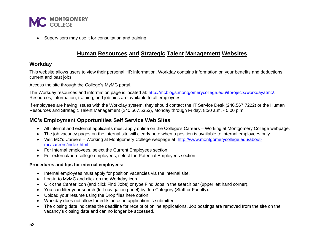

<span id="page-51-0"></span>• Supervisors may use it for consultation and training.

## **Human Resources and Strategic Talent Management Websites**

## <span id="page-51-1"></span>**Workday**

This website allows users to view their personal HR information. Workday contains information on your benefits and deductions, current and past jobs.

Access the site through the College's MyMC portal.

The Workday resources and information page is located at: [http://mcblogs.montgomerycollege.edu/itprojects/workdayatmc/.](http://mcblogs.montgomerycollege.edu/itprojects/workdayatmc/) Resources, information, training, and job aids are available to all employees.

If employees are having issues with the Workday system, they should contact the IT Service Desk (240.567.7222) or the Human Resources and Strategic Talent Management (240.567.5353), Monday through Friday, 8:30 a.m. - 5:00 p.m.

## <span id="page-51-2"></span>**MC's Employment Opportunities Self Service Web Sites**

- All internal and external applicants must apply online on the College's Careers Working at Montgomery College webpage.
- The job vacancy pages on the internal site will clearly note when a position is available to internal employees only.
- Visit MC's Careers Working at Montgomery College webpage at: [http://www.montgomerycollege.edu/about](http://www.montgomerycollege.edu/about-mc/careers/index.html)[mc/careers/index.html](http://www.montgomerycollege.edu/about-mc/careers/index.html)
- For Internal employees, select the Current Employees section
- For external/non-college employees, select the Potential Employees section

#### <span id="page-51-3"></span>**Procedures and tips for internal employees:**

- Internal employees must apply for position vacancies via the internal site.
- Log-in to MyMC and click on the Workday icon.
- Click the Career icon (and click Find Jobs) or type Find Jobs in the search bar (upper left hand corner).
- You can filter your search (left navigation panel) by Job Category (Staff or Faculty).
- Upload your resume using the Drop files here option.
- Workday does not allow for edits once an application is submitted.
- The closing date indicates the deadline for receipt of online applications. Job postings are removed from the site on the vacancy's closing date and can no longer be accessed.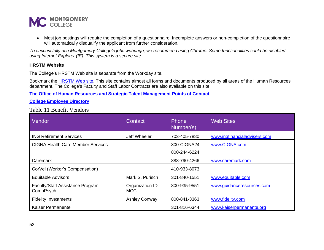

• Most job postings will require the completion of a questionnaire. Incomplete answers or non-completion of the questionnaire will automatically disqualify the applicant from further consideration.

*To successfully use Montgomery College's jobs webpage, we recommend using Chrome. Some functionalities could be disabled using Internet Explorer (IE). This system is a secure site*.

#### <span id="page-52-0"></span>**HRSTM Website**

The College's HRSTM Web site is separate from the Workday site.

Bookmark the **HRSTM Web site**. This site contains almost all forms and documents produced by all areas of the Human Resources department. The College's Faculty and Staff Labor Contracts are also available on this site.

**[The Office of Human Resources and Strategic Talent Management Points of Contact](https://info.montgomerycollege.edu/offices/human-resources/contacts.html)**

**[College Employee Directory](https://www.montgomerycollege.edu/directory/)**

## Table 11 Benefit Vendors

<span id="page-52-4"></span><span id="page-52-3"></span><span id="page-52-2"></span><span id="page-52-1"></span>

| Vendor                                        | Contact                        | Phone<br>Number(s) | <b>Web Sites</b>             |
|-----------------------------------------------|--------------------------------|--------------------|------------------------------|
| <b>ING Retirement Services</b>                | Jeff Wheeler                   | 703-405-7880       | www.ingfinancialadvisers.com |
| <b>CIGNA Health Care Member Services</b>      |                                | 800-CIGNA24        | www.CIGNA.com                |
|                                               |                                | 800-244-6224       |                              |
| Caremark                                      |                                | 888-790-4266       | www.caremark.com             |
| CorVel (Worker's Compensation)                |                                | 410-933-8073       |                              |
| <b>Equitable Advisors</b>                     | Mark S. Purisch                | 301-840-1551       | www.equitable.com            |
| Faculty/Staff Assistance Program<br>CompPsych | Organization ID:<br><b>MCC</b> | 800-935-9551       | www.guidanceresources.com    |
| <b>Fidelity Investments</b>                   | <b>Ashley Conway</b>           | 800-841-3363       | www.fidelity.com             |
| <b>Kaiser Permanente</b>                      |                                | 301-816-6344       | www.kaiserpermanente.org     |